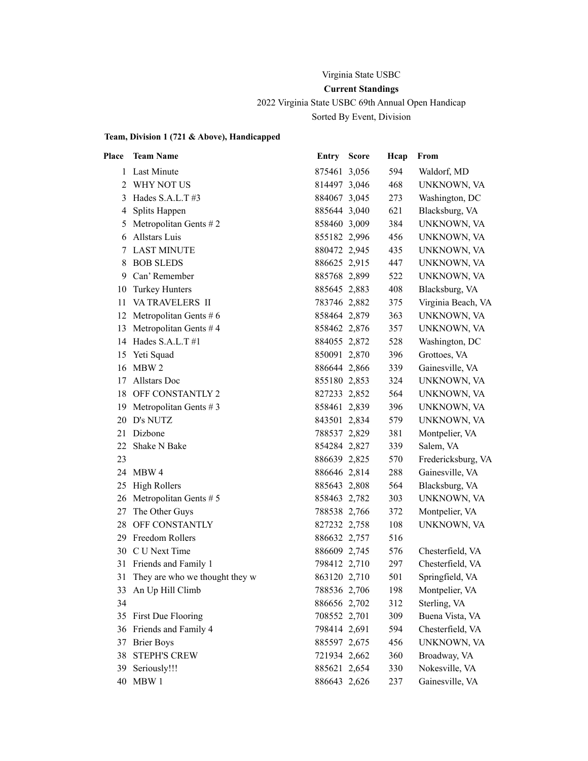### Virginia State USBC

# **Current Standings**

2022 Virginia State USBC 69th Annual Open Handicap

Sorted By Event, Division

# **Team, Division 1 (721 & Above), Handicapped**

| Place | <b>Team Name</b>               | <b>Entry Score</b> | Hcap | From               |
|-------|--------------------------------|--------------------|------|--------------------|
| 1     | Last Minute                    | 875461 3,056       | 594  | Waldorf, MD        |
| 2     | WHY NOT US                     | 814497 3,046       | 468  | UNKNOWN, VA        |
| 3     | Hades $S.A.L.T$ #3             | 884067 3,045       | 273  | Washington, DC     |
| 4     | Splits Happen                  | 885644 3,040       | 621  | Blacksburg, VA     |
| 5     | Metropolitan Gents #2          | 858460 3,009       | 384  | UNKNOWN, VA        |
| 6     | <b>Allstars Luis</b>           | 855182 2,996       | 456  | UNKNOWN, VA        |
| 7     | <b>LAST MINUTE</b>             | 880472 2,945       | 435  | UNKNOWN, VA        |
| 8     | <b>BOB SLEDS</b>               | 886625 2,915       | 447  | UNKNOWN, VA        |
| 9     | Can' Remember                  | 885768 2,899       | 522  | UNKNOWN, VA        |
| 10    | <b>Turkey Hunters</b>          | 885645 2,883       | 408  | Blacksburg, VA     |
| 11    | VA TRAVELERS II                | 783746 2,882       | 375  | Virginia Beach, VA |
| 12    | Metropolitan Gents $# 6$       | 858464 2,879       | 363  | UNKNOWN, VA        |
| 13    | Metropolitan Gents #4          | 858462 2,876       | 357  | UNKNOWN, VA        |
| 14    | Hades S.A.L.T#1                | 884055 2,872       | 528  | Washington, DC     |
| 15    | Yeti Squad                     | 850091 2,870       | 396  | Grottoes, VA       |
| 16    | MBW 2                          | 886644 2,866       | 339  | Gainesville, VA    |
| 17    | Allstars Doc                   | 855180 2,853       | 324  | UNKNOWN, VA        |
| 18    | OFF CONSTANTLY 2               | 827233 2,852       | 564  | UNKNOWN, VA        |
| 19    | Metropolitan Gents $# 3$       | 858461 2,839       | 396  | UNKNOWN, VA        |
| 20    | D's NUTZ                       | 843501 2,834       | 579  | UNKNOWN, VA        |
| 21    | Dizbone                        | 788537 2,829       | 381  | Montpelier, VA     |
| 22    | Shake N Bake                   | 854284 2,827       | 339  | Salem, VA          |
| 23    |                                | 886639 2,825       | 570  | Fredericksburg, VA |
|       | 24 MBW 4                       | 886646 2,814       | 288  | Gainesville, VA    |
|       | 25 High Rollers                | 885643 2,808       | 564  | Blacksburg, VA     |
| 26    | Metropolitan Gents $# 5$       | 858463 2,782       | 303  | UNKNOWN, VA        |
| 27    | The Other Guys                 | 788538 2,766       | 372  | Montpelier, VA     |
| 28    | OFF CONSTANTLY                 | 827232 2,758       | 108  | UNKNOWN, VA        |
| 29    | Freedom Rollers                | 886632 2,757       | 516  |                    |
| 30    | C U Next Time                  | 886609 2,745       | 576  | Chesterfield, VA   |
| 31    | Friends and Family 1           | 798412 2,710       | 297  | Chesterfield, VA   |
| 31    | They are who we thought they w | 863120 2,710       | 501  | Springfield, VA    |
| 33    | An Up Hill Climb               | 788536 2,706       | 198  | Montpelier, VA     |
| 34    |                                | 886656 2,702       | 312  | Sterling, VA       |
| 35    | First Due Flooring             | 708552 2,701       | 309  | Buena Vista, VA    |
| 36    | Friends and Family 4           | 798414 2,691       | 594  | Chesterfield, VA   |
| 37    | <b>Brier Boys</b>              | 885597 2,675       | 456  | UNKNOWN, VA        |
| 38    | <b>STEPH'S CREW</b>            | 721934 2,662       | 360  | Broadway, VA       |
| 39    | Seriously!!!                   | 885621 2,654       | 330  | Nokesville, VA     |
| 40    | MBW 1                          | 886643 2,626       | 237  | Gainesville, VA    |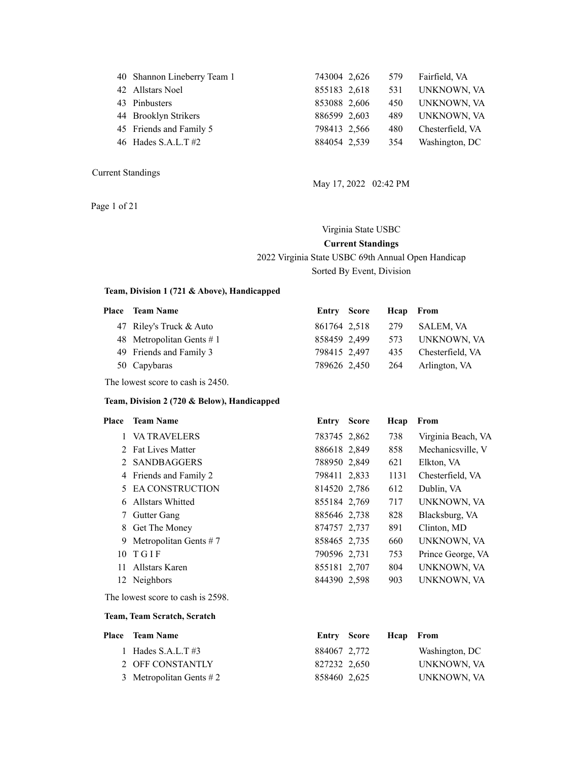| 40 Shannon Lineberry Team 1 | 743004 2,626 | 579 | Fairfield, VA    |
|-----------------------------|--------------|-----|------------------|
| 42 Allstars Noel            | 855183 2,618 | 531 | UNKNOWN, VA      |
| 43 Pinbusters               | 853088 2,606 | 450 | UNKNOWN, VA      |
| 44 Brooklyn Strikers        | 886599 2,603 | 489 | UNKNOWN, VA      |
| 45 Friends and Family 5     | 798413 2,566 | 480 | Chesterfield, VA |
| 46 Hades S.A.L.T $#2$       | 884054 2,539 | 354 | Washington, DC   |
|                             |              |     |                  |

Page 1 of 21

May 17, 2022 02:42 PM

# Virginia State USBC **Current Standings** 2022 Virginia State USBC 69th Annual Open Handicap Sorted By Event, Division

#### **Team, Division 1 (721 & Above), Handicapped**

| <b>Place</b> Team Name      | Entry Score  |                  | Heap From |                  |
|-----------------------------|--------------|------------------|-----------|------------------|
| 47 Riley's Truck & Auto     |              | 861764 2,518 279 |           | <b>SALEM, VA</b> |
| 48 Metropolitan Gents $# 1$ | 858459 2,499 |                  | 573       | UNKNOWN. VA      |
| 49 Friends and Family 3     | 798415 2,497 |                  | 435       | Chesterfield, VA |
| 50 Capybaras                | 789626 2,450 |                  | -264      | Arlington, VA    |
|                             |              |                  |           |                  |

The lowest score to cash is 2450.

#### **Team, Division 2 (720 & Below), Handicapped**

| Place | <b>Team Name</b>         | Entry        | <b>Score</b> | Heap | From               |
|-------|--------------------------|--------------|--------------|------|--------------------|
|       | 1 VA TRAVELERS           | 783745 2,862 |              | 738  | Virginia Beach, VA |
|       | 2 Fat Lives Matter       | 886618 2,849 |              | 858  | Mechanicsville, V  |
|       | 2 SANDBAGGERS            | 788950 2,849 |              | 621  | Elkton, VA         |
|       | 4 Friends and Family 2   | 798411 2,833 |              | 1131 | Chesterfield, VA   |
|       | 5 EA CONSTRUCTION        | 814520 2.786 |              | 612  | Dublin, VA         |
| 6.    | Allstars Whitted         | 855184 2,769 |              | 717  | UNKNOWN, VA        |
| 7     | Gutter Gang              | 885646 2.738 |              | 828  | Blacksburg, VA     |
| 8     | Get The Money            | 874757 2,737 |              | 891  | Clinton, MD        |
| 9     | Metropolitan Gents $# 7$ | 858465 2.735 |              | 660  | UNKNOWN, VA        |
| 10    | TGIF                     | 790596 2.731 |              | 753  | Prince George, VA  |
| 11    | Allstars Karen           | 855181 2,707 |              | 804  | UNKNOWN, VA        |
|       | 12 Neighbors             | 844390 2,598 |              | 903  | UNKNOWN, VA        |

The lowest score to cash is 2598.

#### **Team, Team Scratch, Scratch**

| <b>Place</b> Team Name      |              | Entry Score Heap From |                |
|-----------------------------|--------------|-----------------------|----------------|
| 1 Hades $S.A.L.T$ #3        | 884067 2,772 |                       | Washington, DC |
| 2 OFF CONSTANTLY            | 827232 2,650 |                       | UNKNOWN, VA    |
| 3 Metropolitan Gents $\# 2$ | 858460 2,625 |                       | UNKNOWN, VA    |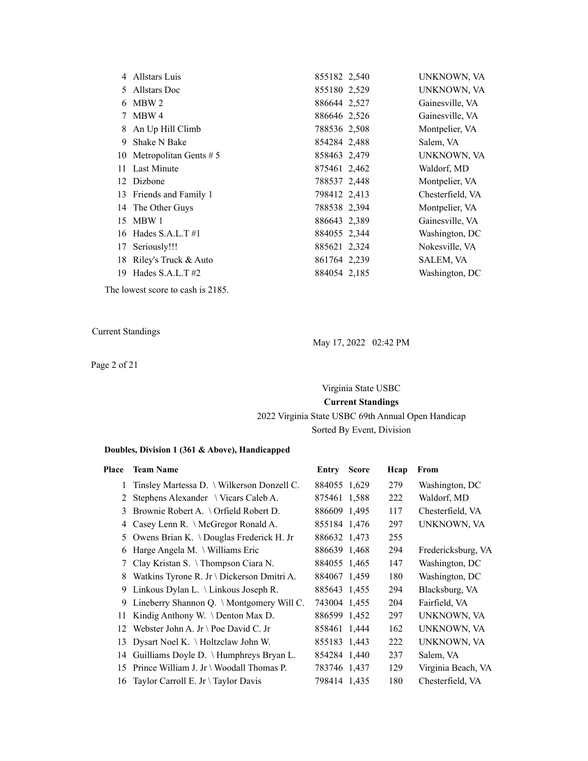|    | 4 Allstars Luis             | 855182 2,540 | UNKNOWN, VA      |
|----|-----------------------------|--------------|------------------|
| 5  | Allstars Doc                | 855180 2,529 | UNKNOWN, VA      |
|    | 6 MBW 2                     | 886644 2,527 | Gainesville, VA  |
| 7  | MBW 4                       | 886646 2,526 | Gainesville, VA  |
|    | 8 An Up Hill Climb          | 788536 2,508 | Montpelier, VA   |
| 9  | Shake N Bake                | 854284 2,488 | Salem, VA        |
|    | 10 Metropolitan Gents $# 5$ | 858463 2,479 | UNKNOWN, VA      |
|    | 11 Last Minute              | 875461 2,462 | Waldorf, MD      |
|    | 12 Dizbone                  | 788537 2,448 | Montpelier, VA   |
|    | 13 Friends and Family 1     | 798412 2,413 | Chesterfield, VA |
|    | 14 The Other Guys           | 788538 2,394 | Montpelier, VA   |
| 15 | MBW 1                       | 886643 2,389 | Gainesville, VA  |
|    | 16 Hades S.A.L.T $#1$       | 884055 2,344 | Washington, DC   |
| 17 | Seriously!!!                | 885621 2,324 | Nokesville, VA   |
| 18 | Riley's Truck & Auto        | 861764 2,239 | <b>SALEM, VA</b> |
|    | 19 Hades S.A.L.T $#2$       | 884054 2,185 | Washington, DC   |

The lowest score to cash is 2185.

Current Standings

Page 2 of 21

May 17, 2022 02:42 PM

Virginia State USBC **Current Standings** 2022 Virginia State USBC 69th Annual Open Handicap Sorted By Event, Division

#### **Doubles, Division 1 (361 & Above), Handicapped**

| Place           | <b>Team Name</b>                                | Entry        | <b>Score</b> | Hcap | From               |
|-----------------|-------------------------------------------------|--------------|--------------|------|--------------------|
| $\mathbf{1}$    | Tinsley Martessa D. \ Wilkerson Donzell C.      | 884055 1,629 |              | 279  | Washington, DC     |
| 2               | Stephens Alexander \ Vicars Caleb A.            | 875461 1,588 |              | 222  | Waldorf, MD        |
| 3               | Brownie Robert A. $\setminus$ Orfield Robert D. | 886609 1,495 |              | 117  | Chesterfield, VA   |
| 4               | Casey Lenn R. \ McGregor Ronald A.              | 855184 1,476 |              | 297  | UNKNOWN, VA        |
| 5.              | Owens Brian K. \Douglas Frederick H. Jr         | 886632 1,473 |              | 255  |                    |
| 6               | Harge Angela M. $\forall$ Williams Eric         | 886639 1,468 |              | 294  | Fredericksburg, VA |
| $7\overline{ }$ | Clay Kristan S. \Thompson Ciara N.              | 884055 1,465 |              | 147  | Washington, DC     |
| 8               | Watkins Tyrone R. Jr \ Dickerson Dmitri A.      | 884067 1,459 |              | 180  | Washington, DC     |
| 9               | Linkous Dylan L. \ Linkous Joseph R.            | 885643 1,455 |              | 294  | Blacksburg, VA     |
| 9               | Lineberry Shannon Q. \ Montgomery Will C.       | 743004 1,455 |              | 204  | Fairfield, VA      |
| 11              | Kindig Anthony W. \ Denton Max D.               | 886599 1,452 |              | 297  | UNKNOWN, VA        |
| 12              | Webster John A. Jr \ Poe David C. Jr            | 858461 1,444 |              | 162  | UNKNOWN, VA        |
| 13              | Dysart Noel K. \ Holtzclaw John W.              | 855183 1,443 |              | 222  | UNKNOWN, VA        |
|                 | 14 Guilliams Doyle D. \ Humphreys Bryan L.      | 854284 1,440 |              | 237  | Salem, VA          |
| 15              | Prince William J. Jr \ Woodall Thomas P.        | 783746 1,437 |              | 129  | Virginia Beach, VA |
| 16              | Taylor Carroll E. Jr \ Taylor Davis             | 798414 1,435 |              | 180  | Chesterfield, VA   |
|                 |                                                 |              |              |      |                    |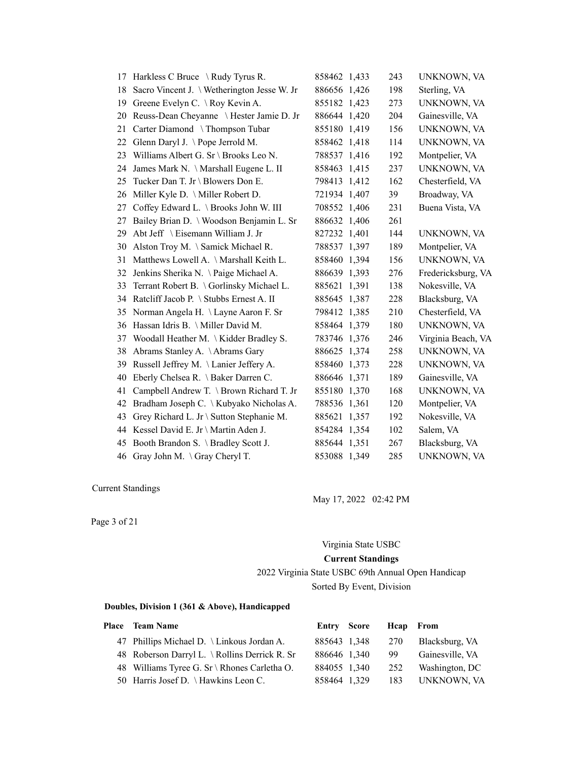|    | 17 Harkless C Bruce \ Rudy Tyrus R.         | 858462 1,433 | 243 | UNKNOWN, VA        |
|----|---------------------------------------------|--------------|-----|--------------------|
| 18 | Sacro Vincent J. \ Wetherington Jesse W. Jr | 886656 1,426 | 198 | Sterling, VA       |
| 19 | Greene Evelyn C. \ Roy Kevin A.             | 855182 1,423 | 273 | UNKNOWN, VA        |
| 20 | Reuss-Dean Cheyanne \ Hester Jamie D. Jr    | 886644 1,420 | 204 | Gainesville, VA    |
| 21 | Carter Diamond \Thompson Tubar              | 855180 1,419 | 156 | UNKNOWN, VA        |
| 22 | Glenn Daryl J. \Pope Jerrold M.             | 858462 1,418 | 114 | UNKNOWN, VA        |
| 23 | Williams Albert G. Sr \ Brooks Leo N.       | 788537 1,416 | 192 | Montpelier, VA     |
| 24 | James Mark N. \ Marshall Eugene L. II       | 858463 1,415 | 237 | UNKNOWN, VA        |
| 25 | Tucker Dan T. Jr \ Blowers Don E.           | 798413 1,412 | 162 | Chesterfield, VA   |
| 26 | Miller Kyle D. \ Miller Robert D.           | 721934 1,407 | 39  | Broadway, VA       |
| 27 | Coffey Edward L. \ Brooks John W. III       | 708552 1,406 | 231 | Buena Vista, VA    |
| 27 | Bailey Brian D. \ Woodson Benjamin L. Sr    | 886632 1,406 | 261 |                    |
| 29 | Abt Jeff \ Eisemann William J. Jr           | 827232 1,401 | 144 | UNKNOWN, VA        |
| 30 | Alston Troy M. \ Samick Michael R.          | 788537 1,397 | 189 | Montpelier, VA     |
| 31 | Matthews Lowell A. \ Marshall Keith L.      | 858460 1,394 | 156 | UNKNOWN, VA        |
| 32 | Jenkins Sherika N. \Paige Michael A.        | 886639 1,393 | 276 | Fredericksburg, VA |
| 33 | Terrant Robert B. \Gorlinsky Michael L.     | 885621 1,391 | 138 | Nokesville, VA     |
| 34 | Ratcliff Jacob P. \ Stubbs Ernest A. II     | 885645 1,387 | 228 | Blacksburg, VA     |
| 35 | Norman Angela H. \ Layne Aaron F. Sr        | 798412 1,385 | 210 | Chesterfield, VA   |
| 36 | Hassan Idris B. \ Miller David M.           | 858464 1,379 | 180 | UNKNOWN, VA        |
| 37 | Woodall Heather M. \ Kidder Bradley S.      | 783746 1,376 | 246 | Virginia Beach, VA |
| 38 | Abrams Stanley A. \Abrams Gary              | 886625 1,374 | 258 | UNKNOWN, VA        |
| 39 | Russell Jeffrey M. \Lanier Jeffery A.       | 858460 1,373 | 228 | UNKNOWN, VA        |
| 40 | Eberly Chelsea R. \ Baker Darren C.         | 886646 1,371 | 189 | Gainesville, VA    |
| 41 | Campbell Andrew T. \ Brown Richard T. Jr    | 855180 1,370 | 168 | UNKNOWN, VA        |
| 42 | Bradham Joseph C. \ Kubyako Nicholas A.     | 788536 1,361 | 120 | Montpelier, VA     |
| 43 | Grey Richard L. Jr \ Sutton Stephanie M.    | 885621 1,357 | 192 | Nokesville, VA     |
| 44 | Kessel David E. Jr \ Martin Aden J.         | 854284 1,354 | 102 | Salem, VA          |
| 45 | Booth Brandon S. \ Bradley Scott J.         | 885644 1,351 | 267 | Blacksburg, VA     |
|    | 46 Gray John M. \Gray Cheryl T.             | 853088 1,349 | 285 | <b>UNKNOWN, VA</b> |

May 17, 2022 02:42 PM

Page 3 of 21

Virginia State USBC

#### **Current Standings**

2022 Virginia State USBC 69th Annual Open Handicap Sorted By Event, Division

#### **Doubles, Division 1 (361 & Above), Handicapped**

| Place Team Name                               |              | Entry Score Heap From |     |                 |
|-----------------------------------------------|--------------|-----------------------|-----|-----------------|
| 47 Phillips Michael D. \ Linkous Jordan A.    |              | 885643 1,348 270      |     | Blacksburg, VA  |
| 48 Roberson Darryl L. \ Rollins Derrick R. Sr | 886646 1,340 |                       | -99 | Gainesville, VA |
| 48 Williams Tyree G. Sr \ Rhones Carletha O.  | 884055 1,340 |                       | 252 | Washington, DC  |
| 50 Harris Josef D. \Hawkins Leon C.           | 858464 1,329 |                       |     | 183 UNKNOWN, VA |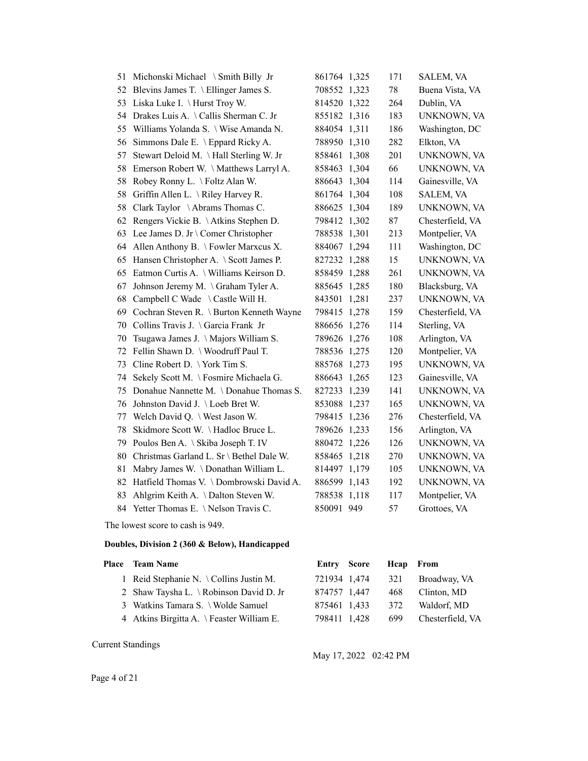| 51 | Michonski Michael \ Smith Billy Jr       | 861764 1,325 | 171 | SALEM, VA        |
|----|------------------------------------------|--------------|-----|------------------|
| 52 | Blevins James T. \ Ellinger James S.     | 708552 1,323 | 78  | Buena Vista, VA  |
| 53 | Liska Luke I. \ Hurst Troy W.            | 814520 1,322 | 264 | Dublin, VA       |
| 54 | Drakes Luis A. \Callis Sherman C. Jr     | 855182 1,316 | 183 | UNKNOWN, VA      |
| 55 | Williams Yolanda S. \ Wise Amanda N.     | 884054 1,311 | 186 | Washington, DC   |
| 56 | Simmons Dale E. \ Eppard Ricky A.        | 788950 1,310 | 282 | Elkton, VA       |
| 57 | Stewart Deloid M. \Hall Sterling W. Jr   | 858461 1,308 | 201 | UNKNOWN, VA      |
| 58 | Emerson Robert W. \Matthews Larryl A.    | 858463 1,304 | 66  | UNKNOWN, VA      |
| 58 | Robey Ronny L. \ Foltz Alan W.           | 886643 1,304 | 114 | Gainesville, VA  |
| 58 | Griffin Allen L. \ Riley Harvey R.       | 861764 1,304 | 108 | SALEM, VA        |
| 58 | Clark Taylor \Abrams Thomas C.           | 886625 1,304 | 189 | UNKNOWN, VA      |
| 62 | Rengers Vickie B. \Atkins Stephen D.     | 798412 1,302 | 87  | Chesterfield, VA |
| 63 | Lee James D. Jr \ Comer Christopher      | 788538 1,301 | 213 | Montpelier, VA   |
| 64 | Allen Anthony B. \ Fowler Marxcus X.     | 884067 1,294 | 111 | Washington, DC   |
| 65 | Hansen Christopher A. \ Scott James P.   | 827232 1,288 | 15  | UNKNOWN, VA      |
| 65 | Eatmon Curtis A. \ Williams Keirson D.   | 858459 1,288 | 261 | UNKNOWN, VA      |
| 67 | Johnson Jeremy M. \ Graham Tyler A.      | 885645 1,285 | 180 | Blacksburg, VA   |
| 68 | Campbell C Wade \ Castle Will H.         | 843501 1,281 | 237 | UNKNOWN, VA      |
| 69 | Cochran Steven R. \ Burton Kenneth Wayne | 798415 1,278 | 159 | Chesterfield, VA |
| 70 | Collins Travis J. \Garcia Frank Jr       | 886656 1,276 | 114 | Sterling, VA     |
| 70 | Tsugawa James J. \Majors William S.      | 789626 1,276 | 108 | Arlington, VA    |
| 72 | Fellin Shawn D. \ Woodruff Paul T.       | 788536 1,275 | 120 | Montpelier, VA   |
| 73 | Cline Robert D. \York Tim S.             | 885768 1,273 | 195 | UNKNOWN, VA      |
| 74 | Sekely Scott M. \ Fosmire Michaela G.    | 886643 1,265 | 123 | Gainesville, VA  |
| 75 | Donahue Nannette M. \Donahue Thomas S.   | 827233 1,239 | 141 | UNKNOWN, VA      |
| 76 | Johnston David J. \Loeb Bret W.          | 853088 1,237 | 165 | UNKNOWN, VA      |
| 77 | Welch David Q. \ West Jason W.           | 798415 1,236 | 276 | Chesterfield, VA |
| 78 | Skidmore Scott W. \Hadloc Bruce L.       | 789626 1,233 | 156 | Arlington, VA    |
| 79 | Poulos Ben A. \ Skiba Joseph T. IV       | 880472 1,226 | 126 | UNKNOWN, VA      |
| 80 | Christmas Garland L. Sr \ Bethel Dale W. | 858465 1,218 | 270 | UNKNOWN, VA      |
| 81 | Mabry James W. \Donathan William L.      | 814497 1,179 | 105 | UNKNOWN, VA      |
| 82 | Hatfield Thomas V. \Dombrowski David A.  | 886599 1,143 | 192 | UNKNOWN, VA      |
| 83 | Ahlgrim Keith A. \Dalton Steven W.       | 788538 1,118 | 117 | Montpelier, VA   |
| 84 | Yetter Thomas E. \Nelson Travis C.       | 850091 949   | 57  | Grottoes, VA     |

The lowest score to cash is 949.

#### **Doubles, Division 2 (360 & Below), Handicapped**

# Place Team Name **Entry Score Hcap From** 1 Reid Stephanie N. \ Collins Justin M. 721934 1,474 321 Broadway, VA 2 Shaw Taysha L. \ Robinson David D. Jr 874757 1,447 468 Clinton, MD 3 Watkins Tamara S. \ Wolde Samuel 875461 1,433 372 Waldorf, MD 4 Atkins Birgitta A. \ Feaster William E. 798411 1,428 699 Chesterfield, VA

Current Standings

May 17, 2022 02:42 PM

Page 4 of 21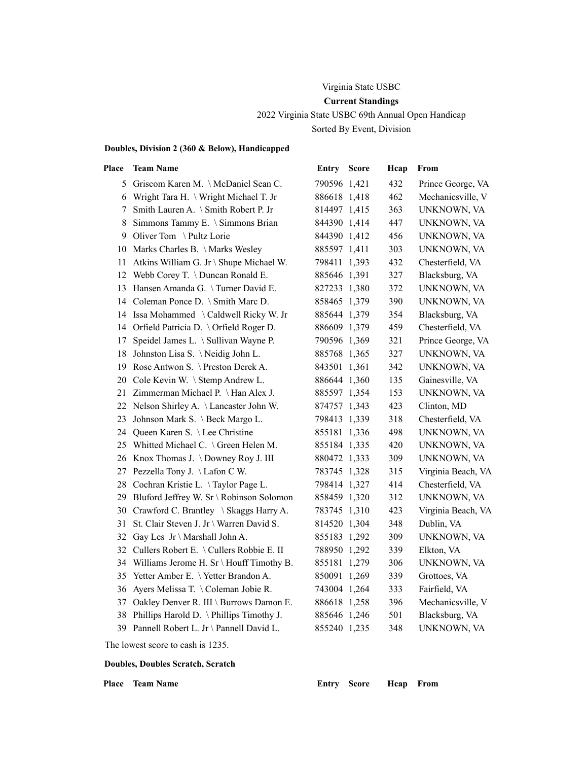# Virginia State USBC **Current Standings**

2022 Virginia State USBC 69th Annual Open Handicap Sorted By Event, Division

#### **Doubles, Division 2 (360 & Below), Handicapped**

| Place | <b>Team Name</b>                            | Entry        | <b>Score</b> | Hcap | From               |
|-------|---------------------------------------------|--------------|--------------|------|--------------------|
|       | 5 Griscom Karen M. \McDaniel Sean C.        | 790596 1.421 |              | 432  | Prince George, VA  |
| 6     | Wright Tara H. \ Wright Michael T. Jr       | 886618 1,418 |              | 462  | Mechanicsville, V  |
| 7     | Smith Lauren A. \ Smith Robert P. Jr        | 814497 1,415 |              | 363  | UNKNOWN, VA        |
| 8     | Simmons Tammy E. \ Simmons Brian            | 844390 1,414 |              | 447  | UNKNOWN, VA        |
| 9     | Oliver Tom \Pultz Lorie                     | 844390 1,412 |              | 456  | UNKNOWN, VA        |
|       | 10 Marks Charles B. \Marks Wesley           | 885597 1,411 |              | 303  | UNKNOWN, VA        |
| 11    | Atkins William G. Jr \ Shupe Michael W.     | 798411 1,393 |              | 432  | Chesterfield, VA   |
| 12    | Webb Corey T. \ Duncan Ronald E.            | 885646 1,391 |              | 327  | Blacksburg, VA     |
| 13    | Hansen Amanda G. \Turner David E.           | 827233 1,380 |              | 372  | UNKNOWN, VA        |
|       | 14 Coleman Ponce D. \ Smith Marc D.         | 858465 1,379 |              | 390  | UNKNOWN, VA        |
|       | 14 Issa Mohammed \Caldwell Ricky W. Jr      | 885644 1,379 |              | 354  | Blacksburg, VA     |
|       | 14 Orfield Patricia D. \Orfield Roger D.    | 886609 1,379 |              | 459  | Chesterfield, VA   |
| 17    | Speidel James L. \ Sullivan Wayne P.        | 790596 1,369 |              | 321  | Prince George, VA  |
| 18    | Johnston Lisa S. \Neidig John L.            | 885768 1,365 |              | 327  | UNKNOWN, VA        |
| 19    | Rose Antwon S. \ Preston Derek A.           | 843501 1,361 |              | 342  | UNKNOWN, VA        |
| 20    | Cole Kevin W. \ Stemp Andrew L.             | 886644 1,360 |              | 135  | Gainesville, VA    |
| 21    | Zimmerman Michael P. \ Han Alex J.          | 885597 1,354 |              | 153  | UNKNOWN, VA        |
| 22    | Nelson Shirley A. \ Lancaster John W.       | 874757 1,343 |              | 423  | Clinton, MD        |
| 23    | Johnson Mark S. \ Beck Margo L.             | 798413 1,339 |              | 318  | Chesterfield, VA   |
| 24    | Queen Karen S. \ Lee Christine              | 855181 1,336 |              | 498  | UNKNOWN, VA        |
|       | 25 Whitted Michael C. \ Green Helen M.      | 855184 1,335 |              | 420  | UNKNOWN, VA        |
|       | 26 Knox Thomas J. \Downey Roy J. III        | 880472 1,333 |              | 309  | UNKNOWN, VA        |
| 27    | Pezzella Tony J. \Lafon C W.                | 783745 1,328 |              | 315  | Virginia Beach, VA |
|       | 28 Cochran Kristie L. \Taylor Page L.       | 798414 1,327 |              | 414  | Chesterfield, VA   |
| 29    | Bluford Jeffrey W. Sr \ Robinson Solomon    | 858459 1,320 |              | 312  | UNKNOWN, VA        |
| 30    | Crawford C. Brantley \ Skaggs Harry A.      | 783745 1,310 |              | 423  | Virginia Beach, VA |
| 31    | St. Clair Steven J. Jr \ Warren David S.    | 814520 1,304 |              | 348  | Dublin, VA         |
| 32    | Gay Les $Jr \setminus$ Marshall John A.     | 855183 1,292 |              | 309  | UNKNOWN, VA        |
|       | 32 Cullers Robert E. \ Cullers Robbie E. II | 788950 1,292 |              | 339  | Elkton, VA         |
|       | 34 Williams Jerome H. Sr \ Houff Timothy B. | 855181 1,279 |              | 306  | UNKNOWN, VA        |
|       | 35 Yetter Amber E. \Yetter Brandon A.       | 850091 1,269 |              | 339  | Grottoes, VA       |
| 36    | Ayers Melissa T. \Coleman Jobie R.          | 743004 1,264 |              | 333  | Fairfield, VA      |
| 37    | Oakley Denver R. III \ Burrows Damon E.     | 886618 1,258 |              | 396  | Mechanicsville, V  |
| 38    | Phillips Harold D. \Phillips Timothy J.     | 885646 1,246 |              | 501  | Blacksburg, VA     |
|       | 39 Pannell Robert L. Jr \ Pannell David L.  | 855240 1,235 |              | 348  | UNKNOWN, VA        |
|       |                                             |              |              |      |                    |

The lowest score to cash is 1235.

#### **Doubles, Doubles Scratch, Scratch**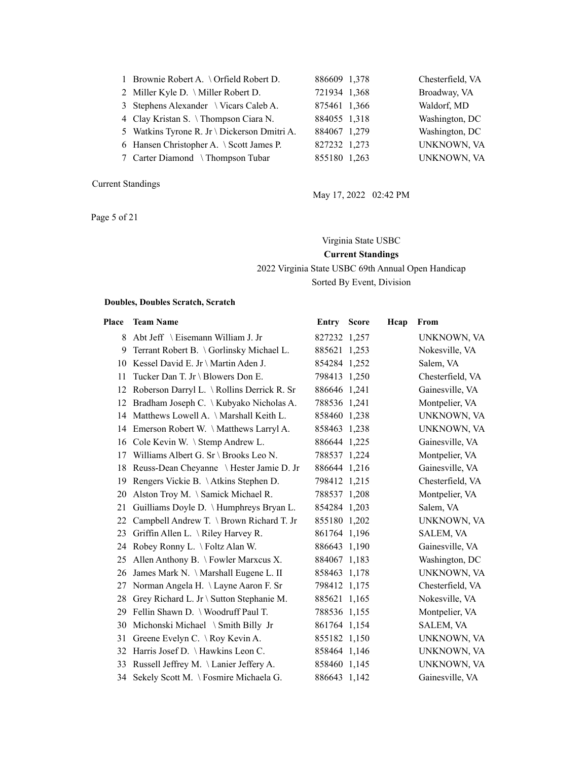| 1 Brownie Robert A. \ Orfield Robert D.      | 886609 1,378 | Chesterfield, VA   |
|----------------------------------------------|--------------|--------------------|
| 2 Miller Kyle D. \ Miller Robert D.          | 721934 1,368 | Broadway, VA       |
| 3 Stephens Alexander \ Vicars Caleb A.       | 875461 1,366 | Waldorf, MD        |
| 4 Clay Kristan S. \Thompson Ciara N.         | 884055 1,318 | Washington, DC     |
| 5 Watkins Tyrone R. Jr \ Dickerson Dmitri A. | 884067 1,279 | Washington, DC     |
| 6 Hansen Christopher A. \ Scott James P.     | 827232 1,273 | <b>UNKNOWN, VA</b> |
| 7 Carter Diamond \Thompson Tubar             | 855180 1,263 | <b>UNKNOWN, VA</b> |

Page 5 of 21

| 21934 1,368 |             | Broadway, VA  |
|-------------|-------------|---------------|
|             | 75461 1,366 | Waldorf, MD   |
| 84055 1,318 |             | Washington, D |
| 84067 1,279 |             | Washington, D |
| 27232 1,273 |             | UNKNOWN,      |
| 55180 1,263 |             | UNKNOWN,      |
|             |             |               |
|             |             |               |

May 17, 2022 02:42 PM

# Virginia State USBC

#### **Current Standings**

2022 Virginia State USBC 69th Annual Open Handicap Sorted By Event, Division

#### **Doubles, Doubles Scratch, Scratch**

| Place | <b>Team Name</b>                            | <b>Entry Score</b> | Hcap | From             |
|-------|---------------------------------------------|--------------------|------|------------------|
| 8     | Abt Jeff $\setminus$ Eisemann William J. Jr | 827232 1,257       |      | UNKNOWN, VA      |
| 9     | Terrant Robert B. \ Gorlinsky Michael L.    | 885621 1,253       |      | Nokesville, VA   |
|       | 10 Kessel David E. Jr \ Martin Aden J.      | 854284 1,252       |      | Salem, VA        |
| 11    | Tucker Dan T. Jr \ Blowers Don E.           | 798413 1,250       |      | Chesterfield, VA |
| 12    | Roberson Darryl L. \ Rollins Derrick R. Sr  | 886646 1,241       |      | Gainesville, VA  |
| 12    | Bradham Joseph C. \ Kubyako Nicholas A.     | 788536 1,241       |      | Montpelier, VA   |
|       | 14 Matthews Lowell A. \Marshall Keith L.    | 858460 1,238       |      | UNKNOWN, VA      |
| 14    | Emerson Robert W. \Matthews Larryl A.       | 858463 1,238       |      | UNKNOWN, VA      |
|       | 16 Cole Kevin W. \ Stemp Andrew L.          | 886644 1,225       |      | Gainesville, VA  |
| 17    | Williams Albert G. Sr \ Brooks Leo N.       | 788537 1,224       |      | Montpelier, VA   |
| 18    | Reuss-Dean Cheyanne \ Hester Jamie D. Jr    | 886644 1.216       |      | Gainesville, VA  |
| 19    | Rengers Vickie B. \Atkins Stephen D.        | 798412 1,215       |      | Chesterfield, VA |
| 20    | Alston Troy M. \ Samick Michael R.          | 788537 1,208       |      | Montpelier, VA   |
| 21    | Guilliams Doyle D. \ Humphreys Bryan L.     | 854284 1,203       |      | Salem, VA        |
| 22    | Campbell Andrew T. \ Brown Richard T. Jr    | 855180 1,202       |      | UNKNOWN, VA      |
| 23    | Griffin Allen L. \ Riley Harvey R.          | 861764 1,196       |      | SALEM, VA        |
| 24    | Robey Ronny L. \ Foltz Alan W.              | 886643 1,190       |      | Gainesville, VA  |
| 25    | Allen Anthony B. \ Fowler Marxcus X.        | 884067 1,183       |      | Washington, DC   |
| 26    | James Mark N. \ Marshall Eugene L. II       | 858463 1,178       |      | UNKNOWN, VA      |
| 27    | Norman Angela H. \ Layne Aaron F. Sr        | 798412 1,175       |      | Chesterfield, VA |
| 28    | Grey Richard L. Jr \ Sutton Stephanie M.    | 885621 1,165       |      | Nokesville, VA   |
| 29    | Fellin Shawn D. \ Woodruff Paul T.          | 788536 1,155       |      | Montpelier, VA   |
| 30    | Michonski Michael \ Smith Billy Jr          | 861764 1,154       |      | SALEM, VA        |
| 31    | Greene Evelyn C. \ Roy Kevin A.             | 855182 1,150       |      | UNKNOWN, VA      |
| 32    | Harris Josef D. \ Hawkins Leon C.           | 858464 1,146       |      | UNKNOWN, VA      |
| 33    | Russell Jeffrey M. \Lanier Jeffery A.       | 858460 1,145       |      | UNKNOWN, VA      |
|       | 34 Sekely Scott M. \Fosmire Michaela G.     | 886643 1,142       |      | Gainesville, VA  |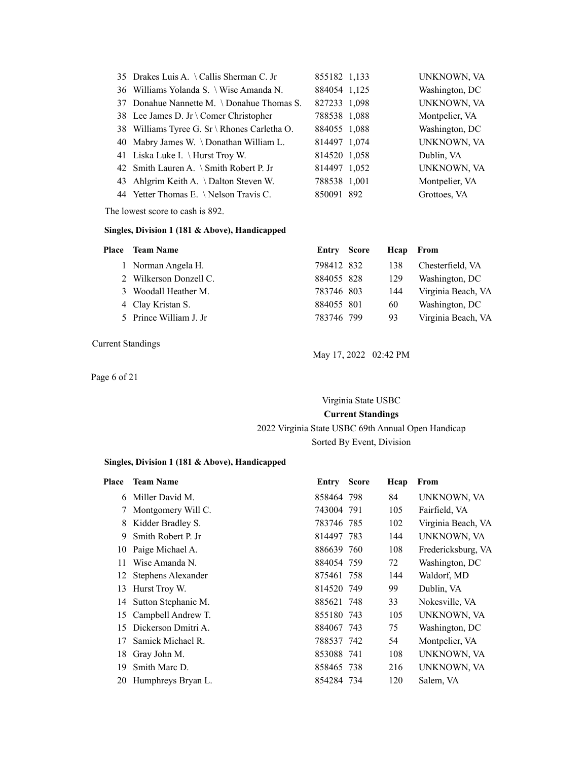| 35 Drakes Luis A. \Callis Sherman C. Jr      | 855182 1,133 | UNKNOWN, VA    |
|----------------------------------------------|--------------|----------------|
|                                              |              |                |
| 36 Williams Yolanda S. \ Wise Amanda N.      | 884054 1,125 | Washington, DC |
| 37 Donahue Nannette M. \Donahue Thomas S.    | 827233 1,098 | UNKNOWN, VA    |
| 38 Lee James D. Jr \ Comer Christopher       | 788538 1,088 | Montpelier, VA |
| 38 Williams Tyree G. Sr \ Rhones Carletha O. | 884055 1,088 | Washington, DC |
| 40 Mabry James W. \Donathan William L.       | 814497 1,074 | UNKNOWN, VA    |
| 41 Liska Luke I. \ Hurst Troy W.             | 814520 1,058 | Dublin, VA     |
| 42 Smith Lauren A. \ Smith Robert P. Jr      | 814497 1,052 | UNKNOWN, VA    |
| 43 Ahlgrim Keith A. \ Dalton Steven W.       | 788538 1,001 | Montpelier, VA |
| 44 Yetter Thomas E. \Nelson Travis C.        | 850091 892   | Grottoes, VA   |

The lowest score to cash is 892.

#### **Singles, Division 1 (181 & Above), Handicapped**

| Place Team Name        | Entry Score | Heap | From               |
|------------------------|-------------|------|--------------------|
| 1 Norman Angela H.     | 798412 832  | 138  | Chesterfield, VA   |
| 2 Wilkerson Donzell C. | 884055 828  | 129  | Washington, DC     |
| 3 Woodall Heather M.   | 783746 803  | 144  | Virginia Beach, VA |
| 4 Clay Kristan S.      | 884055 801  | 60   | Washington, DC     |
| 5 Prince William J. Jr | 783746 799  | 93   | Virginia Beach, VA |
|                        |             |      |                    |

Current Standings

Page 6 of 21

May 17, 2022 02:42 PM

# Virginia State USBC **Current Standings** 2022 Virginia State USBC 69th Annual Open Handicap

# Sorted By Event, Division

#### **Singles, Division 1 (181 & Above), Handicapped**

| Place | <b>Team Name</b>      | Entry      | <b>Score</b> | Hcap | From               |
|-------|-----------------------|------------|--------------|------|--------------------|
| 6     | Miller David M.       | 858464 798 |              | 84   | UNKNOWN, VA        |
| 7     | Montgomery Will C.    | 743004 791 |              | 105  | Fairfield, VA      |
| 8     | Kidder Bradley S.     | 783746 785 |              | 102  | Virginia Beach, VA |
| 9     | Smith Robert P. Jr    | 814497 783 |              | 144  | UNKNOWN, VA        |
| 10    | Paige Michael A.      | 886639 760 |              | 108  | Fredericksburg, VA |
| 11    | Wise Amanda N.        | 884054 759 |              | 72   | Washington, DC     |
|       | 12 Stephens Alexander | 875461 758 |              | 144  | Waldorf, MD        |
| 13    | Hurst Troy W.         | 814520 749 |              | 99   | Dublin, VA         |
| 14    | Sutton Stephanie M.   | 885621 748 |              | 33   | Nokesville, VA     |
| 15    | Campbell Andrew T.    | 855180 743 |              | 105  | UNKNOWN, VA        |
| 15    | Dickerson Dmitri A.   | 884067 743 |              | 75   | Washington, DC     |
| 17    | Samick Michael R.     | 788537 742 |              | 54   | Montpelier, VA     |
| 18    | Gray John M.          | 853088 741 |              | 108  | UNKNOWN, VA        |
| 19    | Smith Marc D.         | 858465 738 |              | 216  | UNKNOWN, VA        |
| 20    | Humphreys Bryan L.    | 854284 734 |              | 120  | Salem, VA          |
|       |                       |            |              |      |                    |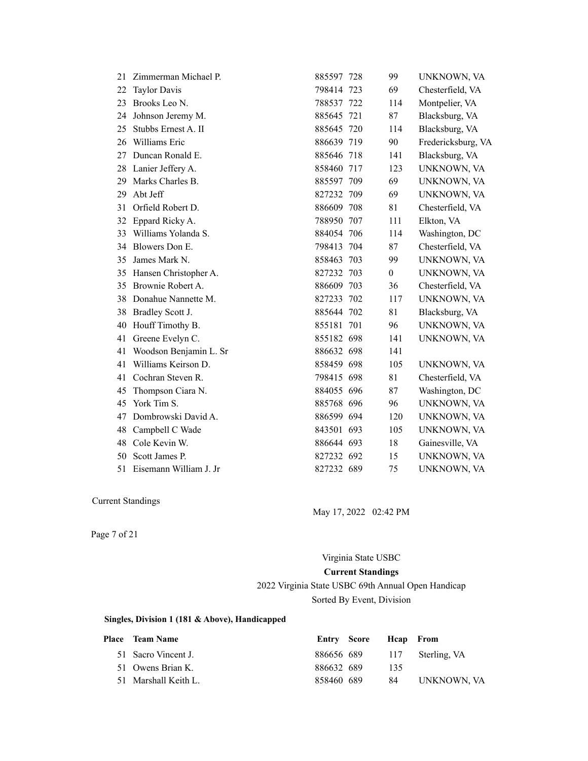| 21 | Zimmerman Michael P.   | 885597 728 | 99               | UNKNOWN, VA        |
|----|------------------------|------------|------------------|--------------------|
| 22 | <b>Taylor Davis</b>    | 798414 723 | 69               | Chesterfield, VA   |
| 23 | Brooks Leo N.          | 788537 722 | 114              | Montpelier, VA     |
| 24 | Johnson Jeremy M.      | 885645 721 | 87               | Blacksburg, VA     |
| 25 | Stubbs Ernest A. II    | 885645 720 | 114              | Blacksburg, VA     |
| 26 | Williams Eric          | 886639 719 | 90               | Fredericksburg, VA |
| 27 | Duncan Ronald E.       | 885646 718 | 141              | Blacksburg, VA     |
| 28 | Lanier Jeffery A.      | 858460 717 | 123              | UNKNOWN, VA        |
| 29 | Marks Charles B.       | 885597 709 | 69               | UNKNOWN, VA        |
| 29 | Abt Jeff               | 827232 709 | 69               | UNKNOWN, VA        |
| 31 | Orfield Robert D.      | 886609 708 | 81               | Chesterfield, VA   |
| 32 | Eppard Ricky A.        | 788950 707 | 111              | Elkton, VA         |
| 33 | Williams Yolanda S.    | 884054 706 | 114              | Washington, DC     |
| 34 | Blowers Don E.         | 798413 704 | 87               | Chesterfield, VA   |
| 35 | James Mark N.          | 858463 703 | 99               | UNKNOWN, VA        |
| 35 | Hansen Christopher A.  | 827232 703 | $\boldsymbol{0}$ | UNKNOWN, VA        |
| 35 | Brownie Robert A.      | 886609 703 | 36               | Chesterfield, VA   |
| 38 | Donahue Nannette M.    | 827233 702 | 117              | UNKNOWN, VA        |
| 38 | Bradley Scott J.       | 885644 702 | 81               | Blacksburg, VA     |
| 40 | Houff Timothy B.       | 855181 701 | 96               | UNKNOWN, VA        |
| 41 | Greene Evelyn C.       | 855182 698 | 141              | UNKNOWN, VA        |
| 41 | Woodson Benjamin L. Sr | 886632 698 | 141              |                    |
| 41 | Williams Keirson D.    | 858459 698 | 105              | UNKNOWN, VA        |
| 41 | Cochran Steven R.      | 798415 698 | 81               | Chesterfield, VA   |
| 45 | Thompson Ciara N.      | 884055 696 | 87               | Washington, DC     |
| 45 | York Tim S.            | 885768 696 | 96               | UNKNOWN, VA        |
| 47 | Dombrowski David A.    | 886599 694 | 120              | UNKNOWN, VA        |
| 48 | Campbell C Wade        | 843501 693 | 105              | UNKNOWN, VA        |
| 48 | Cole Kevin W.          | 886644 693 | 18               | Gainesville, VA    |
| 50 | Scott James P.         | 827232 692 | 15               | UNKNOWN, VA        |
| 51 | Eisemann William J. Jr | 827232 689 | 75               | UNKNOWN, VA        |

May 17, 2022 02:42 PM

Page 7 of 21

# Virginia State USBC **Current Standings**

2022 Virginia State USBC 69th Annual Open Handicap Sorted By Event, Division

#### **Singles, Division 1 (181 & Above), Handicapped**

| <b>Place</b> Team Name |            | Entry Score Heap From |     |                             |
|------------------------|------------|-----------------------|-----|-----------------------------|
| 51 Sacro Vincent J.    |            |                       |     | 886656 689 117 Sterling, VA |
| 51 Owens Brian K.      | 886632 689 |                       | 135 |                             |
| 51 Marshall Keith L.   | 858460 689 |                       | -84 | UNKNOWN, VA                 |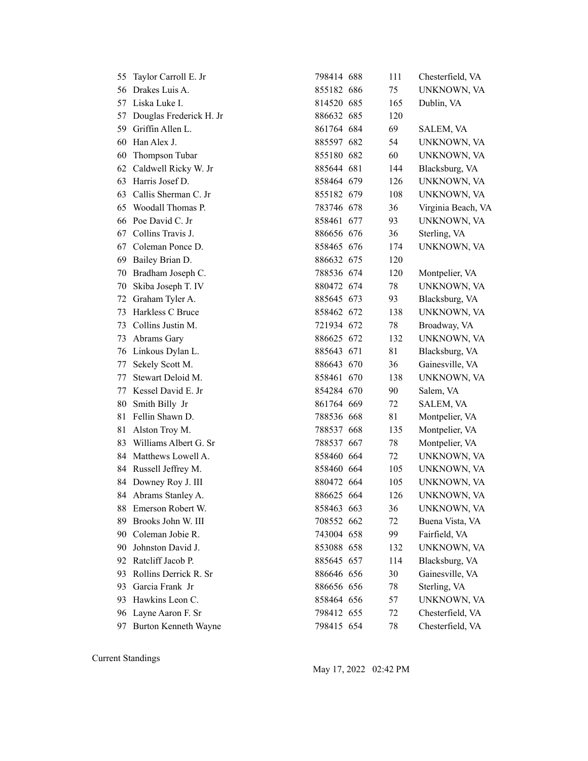| 55 | Taylor Carroll E. Jr    | 798414 688 | 111 | Chesterfield, VA   |
|----|-------------------------|------------|-----|--------------------|
|    | 56 Drakes Luis A.       | 855182 686 | 75  | UNKNOWN, VA        |
| 57 | Liska Luke I.           | 814520 685 | 165 | Dublin, VA         |
| 57 | Douglas Frederick H. Jr | 886632 685 | 120 |                    |
| 59 | Griffin Allen L.        | 861764 684 | 69  | <b>SALEM, VA</b>   |
| 60 | Han Alex J.             | 885597 682 | 54  | UNKNOWN, VA        |
| 60 | Thompson Tubar          | 855180 682 | 60  | UNKNOWN, VA        |
| 62 | Caldwell Ricky W. Jr    | 885644 681 | 144 | Blacksburg, VA     |
| 63 | Harris Josef D.         | 858464 679 | 126 | UNKNOWN, VA        |
| 63 | Callis Sherman C. Jr    | 855182 679 | 108 | UNKNOWN, VA        |
| 65 | Woodall Thomas P.       | 783746 678 | 36  | Virginia Beach, VA |
| 66 | Poe David C. Jr         | 858461 677 | 93  | UNKNOWN, VA        |
| 67 | Collins Travis J.       | 886656 676 | 36  | Sterling, VA       |
| 67 | Coleman Ponce D.        | 858465 676 | 174 | UNKNOWN, VA        |
| 69 | Bailey Brian D.         | 886632 675 | 120 |                    |
| 70 | Bradham Joseph C.       | 788536 674 | 120 | Montpelier, VA     |
| 70 | Skiba Joseph T. IV      | 880472 674 | 78  | UNKNOWN, VA        |
| 72 | Graham Tyler A.         | 885645 673 | 93  | Blacksburg, VA     |
| 73 | Harkless C Bruce        | 858462 672 | 138 | UNKNOWN, VA        |
| 73 | Collins Justin M.       | 721934 672 | 78  | Broadway, VA       |
| 73 | Abrams Gary             | 886625 672 | 132 | UNKNOWN, VA        |
| 76 | Linkous Dylan L.        | 885643 671 | 81  | Blacksburg, VA     |
| 77 | Sekely Scott M.         | 886643 670 | 36  | Gainesville, VA    |
| 77 | Stewart Deloid M.       | 858461 670 | 138 | UNKNOWN, VA        |
| 77 | Kessel David E. Jr      | 854284 670 | 90  | Salem, VA          |
| 80 | Smith Billy Jr          | 861764 669 | 72  | SALEM, VA          |
| 81 | Fellin Shawn D.         | 788536 668 | 81  | Montpelier, VA     |
| 81 | Alston Troy M.          | 788537 668 | 135 | Montpelier, VA     |
| 83 | Williams Albert G. Sr   | 788537 667 | 78  | Montpelier, VA     |
| 84 | Matthews Lowell A.      | 858460 664 | 72  | UNKNOWN, VA        |
| 84 | Russell Jeffrey M.      | 858460 664 | 105 | UNKNOWN, VA        |
| 84 | Downey Roy J. III       | 880472 664 | 105 | UNKNOWN, VA        |
|    | 84 Abrams Stanley A.    | 886625 664 | 126 | UNKNOWN, VA        |
| 88 | Emerson Robert W.       | 858463 663 | 36  | UNKNOWN, VA        |
| 89 | Brooks John W. III      | 708552 662 | 72  | Buena Vista, VA    |
| 90 | Coleman Jobie R.        | 743004 658 | 99  | Fairfield, VA      |
| 90 | Johnston David J.       | 853088 658 | 132 | UNKNOWN, VA        |
| 92 | Ratcliff Jacob P.       | 885645 657 | 114 | Blacksburg, VA     |
| 93 | Rollins Derrick R. Sr   | 886646 656 | 30  | Gainesville, VA    |
| 93 | Garcia Frank Jr         | 886656 656 | 78  | Sterling, VA       |
| 93 | Hawkins Leon C.         | 858464 656 | 57  | UNKNOWN, VA        |
| 96 | Layne Aaron F. Sr       | 798412 655 | 72  | Chesterfield, VA   |
| 97 | Burton Kenneth Wayne    | 798415 654 | 78  | Chesterfield, VA   |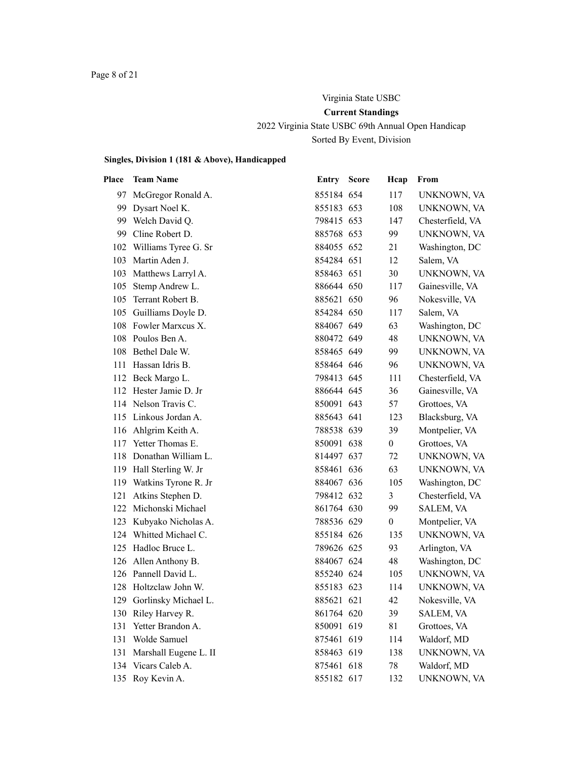# Virginia State USBC **Current Standings**

2022 Virginia State USBC 69th Annual Open Handicap Sorted By Event, Division

# **Singles, Division 1 (181 & Above), Handicapped**

| Place | <b>Team Name</b>         | Entry      | <b>Score</b> | Hcap             | From             |
|-------|--------------------------|------------|--------------|------------------|------------------|
| 97.   | McGregor Ronald A.       | 855184 654 |              | 117              | UNKNOWN, VA      |
|       | 99 Dysart Noel K.        | 855183 653 |              | 108              | UNKNOWN, VA      |
|       | 99 Welch David Q.        | 798415 653 |              | 147              | Chesterfield, VA |
|       | 99 Cline Robert D.       | 885768 653 |              | 99               | UNKNOWN, VA      |
|       | 102 Williams Tyree G. Sr | 884055 652 |              | 21               | Washington, DC   |
|       | 103 Martin Aden J.       | 854284 651 |              | 12               | Salem, VA        |
|       | 103 Matthews Larryl A.   | 858463 651 |              | 30               | UNKNOWN, VA      |
| 105   | Stemp Andrew L.          | 886644 650 |              | 117              | Gainesville, VA  |
| 105   | Terrant Robert B.        | 885621 650 |              | 96               | Nokesville, VA   |
|       | 105 Guilliams Doyle D.   | 854284 650 |              | 117              | Salem, VA        |
|       | 108 Fowler Marxcus X.    | 884067 649 |              | 63               | Washington, DC   |
|       | 108 Poulos Ben A.        | 880472 649 |              | 48               | UNKNOWN, VA      |
|       | 108 Bethel Dale W.       | 858465 649 |              | 99               | UNKNOWN, VA      |
|       | 111 Hassan Idris B.      | 858464 646 |              | 96               | UNKNOWN, VA      |
|       | 112 Beck Margo L.        | 798413 645 |              | 111              | Chesterfield, VA |
|       | 112 Hester Jamie D. Jr   | 886644 645 |              | 36               | Gainesville, VA  |
|       | 114 Nelson Travis C.     | 850091 643 |              | 57               | Grottoes, VA     |
|       | 115 Linkous Jordan A.    | 885643 641 |              | 123              | Blacksburg, VA   |
|       | 116 Ahlgrim Keith A.     | 788538 639 |              | 39               | Montpelier, VA   |
|       | 117 Yetter Thomas E.     | 850091 638 |              | $\boldsymbol{0}$ | Grottoes, VA     |
|       | 118 Donathan William L.  | 814497 637 |              | 72               | UNKNOWN, VA      |
|       | 119 Hall Sterling W. Jr  | 858461 636 |              | 63               | UNKNOWN, VA      |
|       | 119 Watkins Tyrone R. Jr | 884067 636 |              | 105              | Washington, DC   |
| 121   | Atkins Stephen D.        | 798412 632 |              | 3                | Chesterfield, VA |
|       | 122 Michonski Michael    | 861764 630 |              | 99               | SALEM, VA        |
|       | 123 Kubyako Nicholas A.  | 788536 629 |              | $\boldsymbol{0}$ | Montpelier, VA   |
|       | 124 Whitted Michael C.   | 855184 626 |              | 135              | UNKNOWN, VA      |
|       | 125 Hadloc Bruce L.      | 789626 625 |              | 93               | Arlington, VA    |
|       | 126 Allen Anthony B.     | 884067 624 |              | 48               | Washington, DC   |
|       | 126 Pannell David L.     | 855240 624 |              | 105              | UNKNOWN, VA      |
|       | 128 Holtzclaw John W.    | 855183 623 |              | 114              | UNKNOWN, VA      |
|       | 129 Gorlinsky Michael L. | 885621 621 |              | 42               | Nokesville, VA   |
|       | 130 Riley Harvey R.      | 861764 620 |              | 39               | SALEM, VA        |
| 131   | Yetter Brandon A.        | 850091 619 |              | 81               | Grottoes, VA     |
| 131   | Wolde Samuel             | 875461 619 |              | 114              | Waldorf, MD      |
| 131   | Marshall Eugene L. II    | 858463 619 |              | 138              | UNKNOWN, VA      |
|       | 134 Vicars Caleb A.      | 875461 618 |              | 78               | Waldorf, MD      |
|       | 135 Roy Kevin A.         | 855182 617 |              | 132              | UNKNOWN, VA      |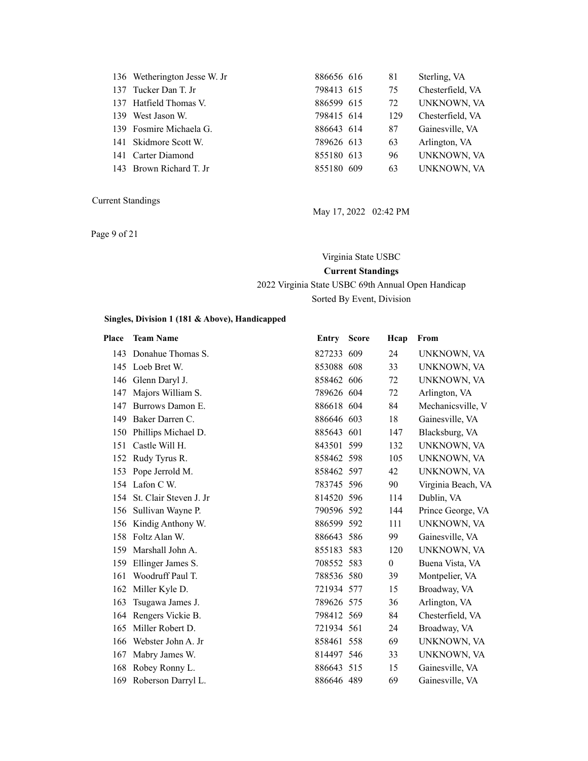| 136 Wetherington Jesse W. Jr | 886656 616 | 81  | Sterling, VA     |
|------------------------------|------------|-----|------------------|
| 137 Tucker Dan T. Jr         | 798413 615 | 75  | Chesterfield, VA |
| 137 Hatfield Thomas V.       | 886599 615 | 72  | UNKNOWN, VA      |
| 139 West Jason W.            | 798415 614 | 129 | Chesterfield, VA |
| 139 Fosmire Michaela G.      | 886643 614 | 87  | Gainesville, VA  |
| 141 Skidmore Scott W.        | 789626 613 | 63  | Arlington, VA    |
| 141 Carter Diamond           | 855180 613 | 96  | UNKNOWN, VA      |
| 143 Brown Richard T. Jr      | 855180 609 | 63  | UNKNOWN, VA      |
|                              |            |     |                  |

Page 9 of 21

May 17, 2022 02:42 PM

Virginia State USBC

# **Current Standings**

2022 Virginia State USBC 69th Annual Open Handicap

Sorted By Event, Division

#### **Singles, Division 1 (181 & Above), Handicapped**

| Place | <b>Team Name</b>       | Entry      | <b>Score</b> | Hcap           | From               |
|-------|------------------------|------------|--------------|----------------|--------------------|
| 143   | Donahue Thomas S.      | 827233 609 |              | 24             | UNKNOWN, VA        |
| 145   | Loeb Bret W.           | 853088 608 |              | 33             | UNKNOWN, VA        |
|       | 146 Glenn Daryl J.     | 858462 606 |              | 72             | UNKNOWN, VA        |
| 147   | Majors William S.      | 789626 604 |              | 72             | Arlington, VA      |
| 147   | Burrows Damon E.       | 886618 604 |              | 84             | Mechanicsville, V  |
| 149   | Baker Darren C.        | 886646 603 |              | 18             | Gainesville, VA    |
| 150   | Phillips Michael D.    | 885643 601 |              | 147            | Blacksburg, VA     |
| 151   | Castle Will H.         | 843501 599 |              | 132            | UNKNOWN, VA        |
|       | 152 Rudy Tyrus R.      | 858462 598 |              | 105            | UNKNOWN, VA        |
| 153   | Pope Jerrold M.        | 858462 597 |              | 42             | UNKNOWN, VA        |
|       | 154 Lafon C W.         | 783745 596 |              | 90             | Virginia Beach, VA |
| 154   | St. Clair Steven J. Jr | 814520 596 |              | 114            | Dublin, VA         |
| 156   | Sullivan Wayne P.      | 790596 592 |              | 144            | Prince George, VA  |
|       | 156 Kindig Anthony W.  | 886599 592 |              | 111            | UNKNOWN, VA        |
| 158   | Foltz Alan W.          | 886643 586 |              | 99             | Gainesville, VA    |
| 159   | Marshall John A.       | 855183 583 |              | 120            | UNKNOWN, VA        |
| 159   | Ellinger James S.      | 708552 583 |              | $\overline{0}$ | Buena Vista, VA    |
| 161   | Woodruff Paul T.       | 788536 580 |              | 39             | Montpelier, VA     |
| 162   | Miller Kyle D.         | 721934 577 |              | 15             | Broadway, VA       |
| 163   | Tsugawa James J.       | 789626 575 |              | 36             | Arlington, VA      |
|       | 164 Rengers Vickie B.  | 798412 569 |              | 84             | Chesterfield, VA   |
| 165   | Miller Robert D.       | 721934 561 |              | 24             | Broadway, VA       |
| 166   | Webster John A. Jr     | 858461 558 |              | 69             | UNKNOWN, VA        |
| 167   | Mabry James W.         | 814497 546 |              | 33             | UNKNOWN, VA        |
| 168   | Robey Ronny L.         | 886643 515 |              | 15             | Gainesville, VA    |
| 169   | Roberson Darryl L.     | 886646 489 |              | 69             | Gainesville, VA    |
|       |                        |            |              |                |                    |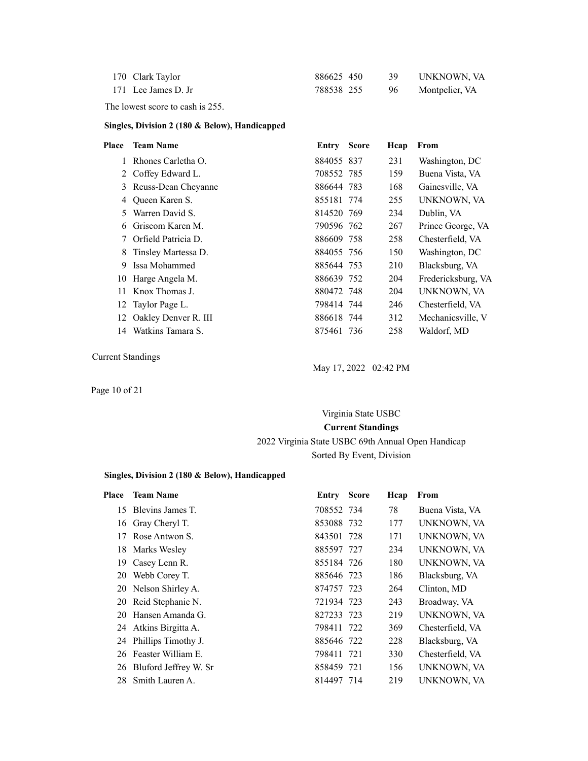| 170 Clark Taylor    | 886625 450 |        | UNKNOWN, VA    |
|---------------------|------------|--------|----------------|
| 171 Lee James D. Jr | 788538 255 | - 96 - | Montpelier, VA |

The lowest score to cash is 255.

#### **Singles, Division 2 (180 & Below), Handicapped**

| Place | <b>Team Name</b>     | Entry      | <b>Score</b> | Hcap | From               |
|-------|----------------------|------------|--------------|------|--------------------|
|       | Rhones Carletha O.   | 884055 837 |              | 231  | Washington, DC     |
|       | 2 Coffey Edward L.   | 708552 785 |              | 159  | Buena Vista, VA    |
| 3     | Reuss-Dean Cheyanne  | 886644 783 |              | 168  | Gainesville, VA    |
| 4     | Queen Karen S.       | 855181 774 |              | 255  | UNKNOWN, VA        |
| 5     | Warren David S.      | 814520 769 |              | 234  | Dublin, VA         |
| 6     | Griscom Karen M.     | 790596 762 |              | 267  | Prince George, VA  |
| 7     | Orfield Patricia D.  | 886609 758 |              | 258  | Chesterfield, VA   |
| 8     | Tinsley Martessa D.  | 884055 756 |              | 150  | Washington, DC     |
| 9     | Issa Mohammed        | 885644 753 |              | 210  | Blacksburg, VA     |
| 10    | Harge Angela M.      | 886639 752 |              | 204  | Fredericksburg, VA |
| 11    | Knox Thomas J.       | 880472 748 |              | 204  | UNKNOWN, VA        |
| 12    | Taylor Page L.       | 798414 744 |              | 246  | Chesterfield, VA   |
| 12    | Oakley Denver R. III | 886618 744 |              | 312  | Mechanicsville, V  |
| 14    | Watkins Tamara S.    | 875461 736 |              | 258  | Waldorf, MD        |
|       |                      |            |              |      |                    |

Current Standings

May 17, 2022 02:42 PM

Page 10 of 21

# Virginia State USBC **Current Standings** 2022 Virginia State USBC 69th Annual Open Handicap Sorted By Event, Division

#### **Singles, Division 2 (180 & Below), Handicapped**

| Place | <b>Team Name</b>         | <b>Entry Score</b> | Hcap | From             |
|-------|--------------------------|--------------------|------|------------------|
| 15    | Blevins James T.         | 708552 734         | 78   | Buena Vista, VA  |
|       | 16 Gray Cheryl T.        | 853088 732         | 177  | UNKNOWN, VA      |
| 17    | Rose Antwon S.           | 843501 728         | 171  | UNKNOWN, VA      |
|       | 18 Marks Wesley          | 885597 727         | 234  | UNKNOWN, VA      |
| 19.   | Casey Lenn R.            | 855184 726         | 180  | UNKNOWN, VA      |
| 20    | Webb Corey T.            | 885646 723         | 186  | Blacksburg, VA   |
|       | 20 Nelson Shirley A.     | 874757 723         | 264  | Clinton, MD      |
|       | 20 Reid Stephanie N.     | 721934 723         | 243  | Broadway, VA     |
|       | 20 Hansen Amanda G.      | 827233 723         | 219  | UNKNOWN, VA      |
|       | 24 Atkins Birgitta A.    | 798411 722         | 369  | Chesterfield, VA |
|       | 24 Phillips Timothy J.   | 885646 722         | 228  | Blacksburg, VA   |
|       | 26 Feaster William E.    | 798411 721         | 330  | Chesterfield, VA |
|       | 26 Bluford Jeffrey W. Sr | 858459 721         | 156  | UNKNOWN, VA      |
| 28    | Smith Lauren A.          | 814497 714         | 219  | UNKNOWN, VA      |
|       |                          |                    |      |                  |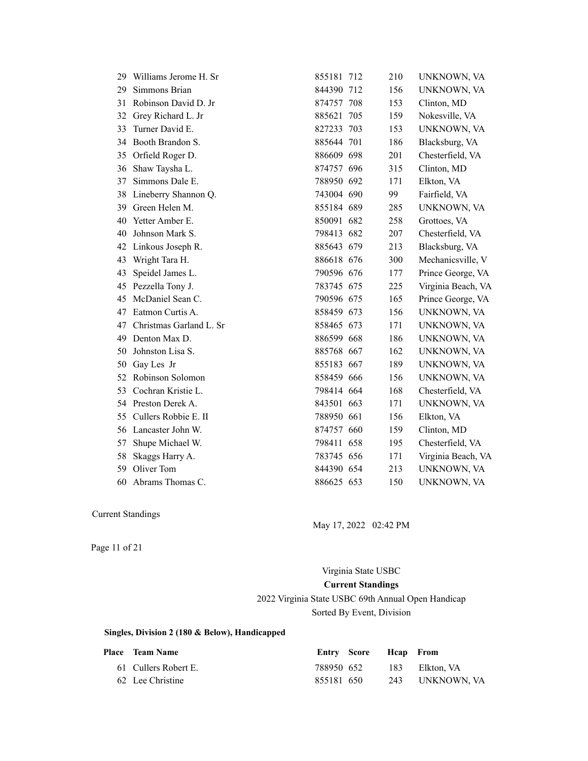| 29. | Williams Jerome H. Sr   | 855181 712 | 210 | UNKNOWN, VA        |
|-----|-------------------------|------------|-----|--------------------|
| 29  | Simmons Brian           | 844390 712 | 156 | UNKNOWN, VA        |
| 31  | Robinson David D. Jr    | 874757 708 | 153 | Clinton, MD        |
| 32  | Grey Richard L. Jr      | 885621 705 | 159 | Nokesville, VA     |
| 33  | Turner David E.         | 827233 703 | 153 | UNKNOWN, VA        |
| 34  | Booth Brandon S.        | 885644 701 | 186 | Blacksburg, VA     |
| 35  | Orfield Roger D.        | 886609 698 | 201 | Chesterfield, VA   |
| 36  | Shaw Taysha L.          | 874757 696 | 315 | Clinton, MD        |
| 37  | Simmons Dale E.         | 788950 692 | 171 | Elkton, VA         |
| 38  | Lineberry Shannon Q.    | 743004 690 | 99  | Fairfield, VA      |
| 39  | Green Helen M.          | 855184 689 | 285 | UNKNOWN, VA        |
| 40  | Yetter Amber E.         | 850091 682 | 258 | Grottoes, VA       |
| 40  | Johnson Mark S.         | 798413 682 | 207 | Chesterfield, VA   |
| 42  | Linkous Joseph R.       | 885643 679 | 213 | Blacksburg, VA     |
| 43  | Wright Tara H.          | 886618 676 | 300 | Mechanicsville, V  |
| 43  | Speidel James L.        | 790596 676 | 177 | Prince George, VA  |
| 45  | Pezzella Tony J.        | 783745 675 | 225 | Virginia Beach, VA |
| 45  | McDaniel Sean C.        | 790596 675 | 165 | Prince George, VA  |
| 47  | Eatmon Curtis A.        | 858459 673 | 156 | UNKNOWN, VA        |
| 47  | Christmas Garland L. Sr | 858465 673 | 171 | UNKNOWN, VA        |
| 49  | Denton Max D.           | 886599 668 | 186 | UNKNOWN, VA        |
| 50  | Johnston Lisa S.        | 885768 667 | 162 | UNKNOWN, VA        |
| 50  | Gay Les Jr              | 855183 667 | 189 | UNKNOWN, VA        |
| 52  | Robinson Solomon        | 858459 666 | 156 | UNKNOWN, VA        |
| 53  | Cochran Kristie L.      | 798414 664 | 168 | Chesterfield, VA   |
|     | 54 Preston Derek A.     | 843501 663 | 171 | UNKNOWN, VA        |
| 55  | Cullers Robbie E. II    | 788950 661 | 156 | Elkton, VA         |
| 56  | Lancaster John W.       | 874757 660 | 159 | Clinton, MD        |
| 57  | Shupe Michael W.        | 798411 658 | 195 | Chesterfield, VA   |
| 58  | Skaggs Harry A.         | 783745 656 | 171 | Virginia Beach, VA |
| 59  | Oliver Tom              | 844390 654 | 213 | UNKNOWN, VA        |
| 60  | Abrams Thomas C.        | 886625 653 | 150 | UNKNOWN, VA        |

May 17, 2022 02:42 PM

Page 11 of 21

Virginia State USBC **Current Standings** 2022 Virginia State USBC 69th Annual Open Handicap Sorted By Event, Division

#### **Singles, Division 2 (180 & Below), Handicapped**

| <b>Place</b> Team Name |            | Entry Score Heap From |                 |
|------------------------|------------|-----------------------|-----------------|
| 61 Cullers Robert E.   | 788950 652 |                       | 183 Elkton, VA  |
| 62 Lee Christine       | 855181 650 |                       | 243 UNKNOWN, VA |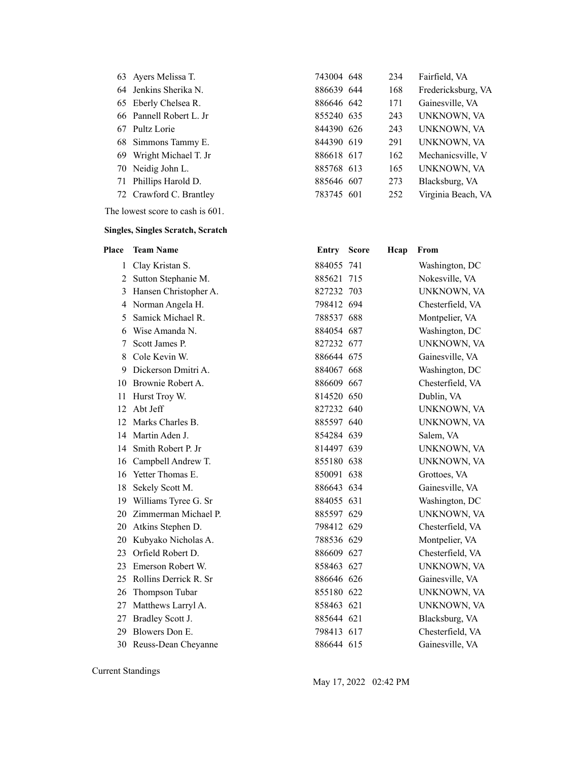| 63 Ayers Melissa T.     |
|-------------------------|
| 64 Jenkins Sherika N.   |
| 65 Eberly Chelsea R.    |
| 66 Pannell Robert L. Jr |
| 67 Pultz Lorie          |
| 68 Simmons Tammy E.     |
| 69 Wright Michael T. Jr |
| 70 Neidig John L.       |
| 71 Phillips Harold D.   |
| 72 Crawford C. Brantley |
|                         |

The lowest score to cash is 601.

#### **Singles, Singles Scratch, Scratch**

| Place        | <b>Team Name</b>       | Entry Score | Hcap | From               |
|--------------|------------------------|-------------|------|--------------------|
| $\mathbf{1}$ | Clay Kristan S.        | 884055 741  |      | Washington, DC     |
| 2            | Sutton Stephanie M.    | 885621 715  |      | Nokesville, VA     |
| 3            | Hansen Christopher A.  | 827232 703  |      | <b>UNKNOWN, VA</b> |
| 4            | Norman Angela H.       | 798412 694  |      | Chesterfield, VA   |
| 5            | Samick Michael R.      | 788537 688  |      | Montpelier, VA     |
| 6            | Wise Amanda N.         | 884054 687  |      | Washington, DC     |
| 7            | Scott James P.         | 827232 677  |      | UNKNOWN, VA        |
| 8            | Cole Kevin W.          | 886644 675  |      | Gainesville, VA    |
| 9            | Dickerson Dmitri A.    | 884067 668  |      | Washington, DC     |
| 10           | Brownie Robert A.      | 886609 667  |      | Chesterfield, VA   |
| 11           | Hurst Troy W.          | 814520 650  |      | Dublin, VA         |
| 12           | Abt Jeff               | 827232 640  |      | UNKNOWN, VA        |
| 12           | Marks Charles B.       | 885597 640  |      | UNKNOWN, VA        |
| 14           | Martin Aden J.         | 854284 639  |      | Salem, VA          |
|              | 14 Smith Robert P. Jr  | 814497 639  |      | UNKNOWN, VA        |
|              | 16 Campbell Andrew T.  | 855180 638  |      | UNKNOWN, VA        |
| 16           | Yetter Thomas E.       | 850091 638  |      | Grottoes, VA       |
| 18           | Sekely Scott M.        | 886643 634  |      | Gainesville, VA    |
| 19           | Williams Tyree G. Sr   | 884055 631  |      | Washington, DC     |
| 20           | Zimmerman Michael P.   | 885597 629  |      | UNKNOWN, VA        |
| 20           | Atkins Stephen D.      | 798412 629  |      | Chesterfield, VA   |
| 20           | Kubyako Nicholas A.    | 788536 629  |      | Montpelier, VA     |
| 23           | Orfield Robert D.      | 886609 627  |      | Chesterfield, VA   |
| 23           | Emerson Robert W.      | 858463 627  |      | <b>UNKNOWN, VA</b> |
| 25           | Rollins Derrick R. Sr  | 886646 626  |      | Gainesville, VA    |
| 26           | Thompson Tubar         | 855180 622  |      | UNKNOWN, VA        |
| 27           | Matthews Larryl A.     | 858463 621  |      | <b>UNKNOWN, VA</b> |
| 27           | Bradley Scott J.       | 885644 621  |      | Blacksburg, VA     |
| 29           | Blowers Don E.         | 798413 617  |      | Chesterfield, VA   |
|              | 30 Reuss-Dean Cheyanne | 886644 615  |      | Gainesville, VA    |

Current Standings

743004 648 234 Fairfield, VA 886639 644 168 Fredericksburg, VA 886646 642 171 Gainesville, VA 855240 635 243 UNKNOWN, VA 844390 626 243 UNKNOWN, VA 844390 619 291 UNKNOWN, VA 886618 617 162 Mechanicsville, V 885768 613 165 UNKNOWN, VA 885646 607 273 Blacksburg, VA 783745 601 252 Virginia Beach, VA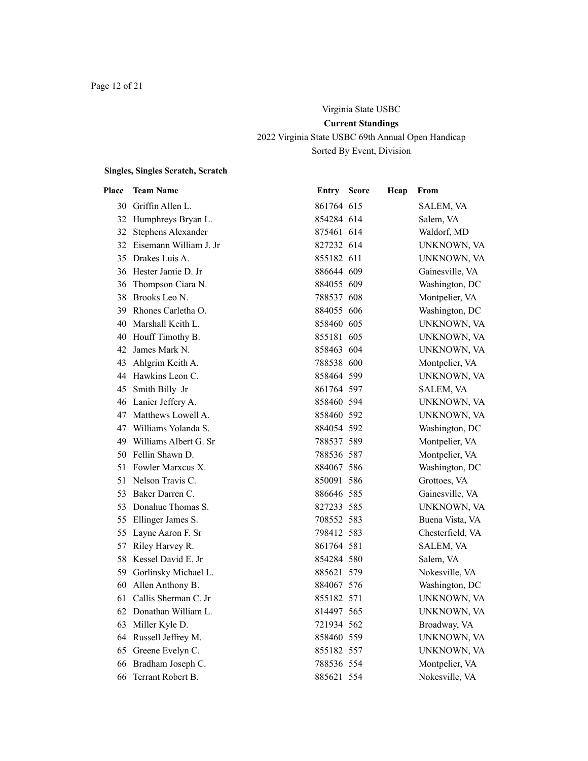# Virginia State USBC **Current Standings** 2022 Virginia State USBC 69th Annual Open Handicap Sorted By Event, Division

# **Singles, Singles Scratch, Scratch**

| Place | <b>Team Name</b>          | Entry      | <b>Score</b> | Hcap | From               |
|-------|---------------------------|------------|--------------|------|--------------------|
|       | 30 Griffin Allen L.       | 861764 615 |              |      | SALEM, VA          |
|       | 32 Humphreys Bryan L.     | 854284 614 |              |      | Salem, VA          |
|       | 32 Stephens Alexander     | 875461 614 |              |      | Waldorf, MD        |
|       | 32 Eisemann William J. Jr | 827232 614 |              |      | UNKNOWN, VA        |
|       | 35 Drakes Luis A.         | 855182 611 |              |      | UNKNOWN, VA        |
|       | 36 Hester Jamie D. Jr     | 886644 609 |              |      | Gainesville, VA    |
|       | 36 Thompson Ciara N.      | 884055 609 |              |      | Washington, DC     |
|       | 38 Brooks Leo N.          | 788537 608 |              |      | Montpelier, VA     |
|       | 39 Rhones Carletha O.     | 884055 606 |              |      | Washington, DC     |
|       | 40 Marshall Keith L.      | 858460 605 |              |      | UNKNOWN, VA        |
|       | 40 Houff Timothy B.       | 855181 605 |              |      | UNKNOWN, VA        |
|       | 42 James Mark N.          | 858463 604 |              |      | <b>UNKNOWN, VA</b> |
|       | 43 Ahlgrim Keith A.       | 788538 600 |              |      | Montpelier, VA     |
|       | 44 Hawkins Leon C.        | 858464 599 |              |      | UNKNOWN, VA        |
|       | 45 Smith Billy Jr         | 861764 597 |              |      | SALEM, VA          |
|       | 46 Lanier Jeffery A.      | 858460 594 |              |      | UNKNOWN, VA        |
|       | 47 Matthews Lowell A.     | 858460 592 |              |      | <b>UNKNOWN, VA</b> |
|       | 47 Williams Yolanda S.    | 884054 592 |              |      | Washington, DC     |
|       | 49 Williams Albert G. Sr  | 788537 589 |              |      | Montpelier, VA     |
|       | 50 Fellin Shawn D.        | 788536 587 |              |      | Montpelier, VA     |
|       | 51 Fowler Marxcus X.      | 884067 586 |              |      | Washington, DC     |
|       | 51 Nelson Travis C.       | 850091 586 |              |      | Grottoes, VA       |
|       | 53 Baker Darren C.        | 886646 585 |              |      | Gainesville, VA    |
|       | 53 Donahue Thomas S.      | 827233 585 |              |      | UNKNOWN, VA        |
| 55    | Ellinger James S.         | 708552 583 |              |      | Buena Vista, VA    |
|       | 55 Layne Aaron F. Sr      | 798412 583 |              |      | Chesterfield, VA   |
|       | 57 Riley Harvey R.        | 861764 581 |              |      | SALEM, VA          |
|       | 58 Kessel David E. Jr     | 854284 580 |              |      | Salem, VA          |
|       | 59 Gorlinsky Michael L.   | 885621 579 |              |      | Nokesville, VA     |
|       | 60 Allen Anthony B.       | 884067 576 |              |      | Washington, DC     |
|       | 61 Callis Sherman C. Jr   | 855182 571 |              |      | UNKNOWN, VA        |
|       | 62 Donathan William L.    | 814497 565 |              |      | UNKNOWN, VA        |
|       | 63 Miller Kyle D.         | 721934 562 |              |      | Broadway, VA       |
|       | 64 Russell Jeffrey M.     | 858460 559 |              |      | UNKNOWN, VA        |
|       | 65 Greene Evelyn C.       | 855182 557 |              |      | UNKNOWN, VA        |
|       | 66 Bradham Joseph C.      | 788536 554 |              |      | Montpelier, VA     |
| 66    | Terrant Robert B.         | 885621 554 |              |      | Nokesville, VA     |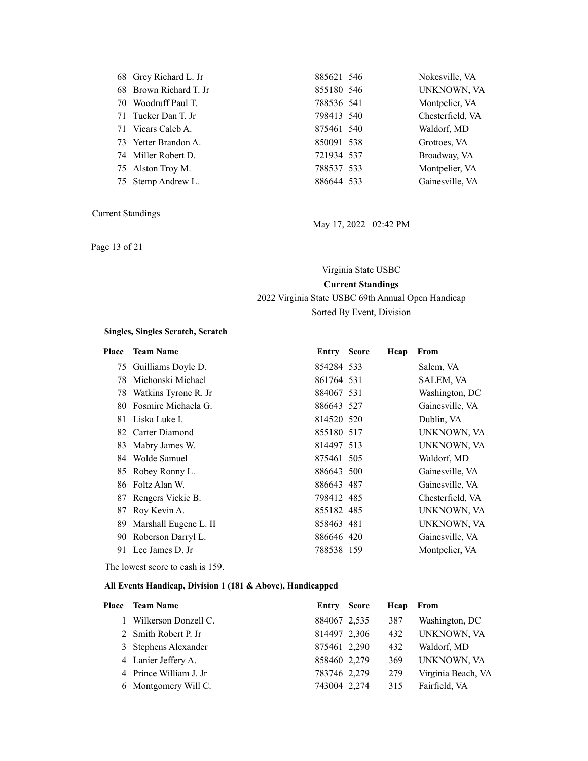| UNKNOWN, VA<br>68 Brown Richard T. Jr<br>855180 546   |  |
|-------------------------------------------------------|--|
|                                                       |  |
| Montpelier, VA<br>70 Woodruff Paul T.<br>788536 541   |  |
| Chesterfield, VA<br>71 Tucker Dan T. Jr<br>798413 540 |  |
| Waldorf, MD<br>71 Vicars Caleb A.<br>875461 540       |  |
| 73 Yetter Brandon A.<br>850091 538<br>Grottoes, VA    |  |
| 74 Miller Robert D.<br>721934 537<br>Broadway, VA     |  |
| Montpelier, VA<br>788537 533<br>75 Alston Troy M.     |  |
| Gainesville, VA<br>75 Stemp Andrew L.<br>886644 533   |  |

Page 13 of 21

May 17, 2022 02:42 PM

# Virginia State USBC **Current Standings**

## 2022 Virginia State USBC 69th Annual Open Handicap Sorted By Event, Division

#### **Singles, Singles Scratch, Scratch**

| Place | <b>Team Name</b>        | <b>Entry Score</b> | Hcap | From             |
|-------|-------------------------|--------------------|------|------------------|
|       | 75 Guilliams Doyle D.   | 854284 533         |      | Salem, VA        |
| 78    | Michonski Michael       | 861764 531         |      | SALEM, VA        |
|       | 78 Watkins Tyrone R. Jr | 884067 531         |      | Washington, DC   |
| 80    | Fosmire Michaela G.     | 886643 527         |      | Gainesville, VA  |
|       | 81 Liska Luke I.        | 814520 520         |      | Dublin, VA       |
|       | 82 Carter Diamond       | 855180 517         |      | UNKNOWN, VA      |
| 83.   | Mabry James W.          | 814497 513         |      | UNKNOWN, VA      |
|       | 84 Wolde Samuel         | 875461 505         |      | Waldorf, MD      |
|       | 85 Robey Ronny L.       | 886643 500         |      | Gainesville, VA  |
|       | 86 Foltz Alan W.        | 886643 487         |      | Gainesville, VA  |
|       | 87 Rengers Vickie B.    | 798412 485         |      | Chesterfield, VA |
| 87    | Roy Kevin A.            | 855182 485         |      | UNKNOWN, VA      |
| 89    | Marshall Eugene L. II   | 858463 481         |      | UNKNOWN, VA      |
| 90.   | Roberson Darryl L.      | 886646 420         |      | Gainesville, VA  |
| 91    | Lee James D. Jr         | 788538 159         |      | Montpelier, VA   |
|       |                         |                    |      |                  |

The lowest score to cash is 159.

| Place | <b>Team Name</b>       | Entry Score  | Hcap | From               |
|-------|------------------------|--------------|------|--------------------|
|       | Wilkerson Donzell C.   | 884067 2,535 | 387  | Washington, DC     |
|       | 2 Smith Robert P. Jr   | 814497 2,306 | 432  | UNKNOWN, VA        |
|       | 3 Stephens Alexander   | 875461 2,290 | 432  | Waldorf, MD        |
|       | 4 Lanier Jeffery A.    | 858460 2,279 | 369  | UNKNOWN, VA        |
|       | 4 Prince William J. Jr | 783746 2,279 | 279  | Virginia Beach, VA |
|       | 6 Montgomery Will C.   | 743004 2,274 | 315  | Fairfield, VA      |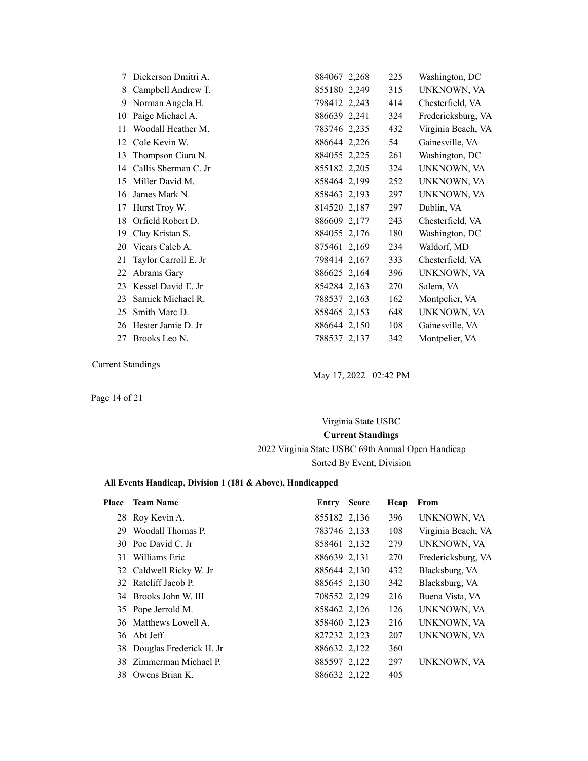| 7  | Dickerson Dmitri A.  | 884067 2,268 | 225 | Washington, DC     |
|----|----------------------|--------------|-----|--------------------|
| 8  | Campbell Andrew T.   | 855180 2,249 | 315 | UNKNOWN, VA        |
| 9  | Norman Angela H.     | 798412 2,243 | 414 | Chesterfield, VA   |
| 10 | Paige Michael A.     | 886639 2,241 | 324 | Fredericksburg, VA |
| 11 | Woodall Heather M.   | 783746 2,235 | 432 | Virginia Beach, VA |
| 12 | Cole Kevin W.        | 886644 2,226 | 54  | Gainesville, VA    |
| 13 | Thompson Ciara N.    | 884055 2,225 | 261 | Washington, DC     |
| 14 | Callis Sherman C. Jr | 855182 2,205 | 324 | UNKNOWN, VA        |
| 15 | Miller David M.      | 858464 2,199 | 252 | UNKNOWN, VA        |
| 16 | James Mark N.        | 858463 2,193 | 297 | UNKNOWN, VA        |
| 17 | Hurst Troy W.        | 814520 2,187 | 297 | Dublin, VA         |
| 18 | Orfield Robert D.    | 886609 2,177 | 243 | Chesterfield, VA   |
| 19 | Clay Kristan S.      | 884055 2,176 | 180 | Washington, DC     |
| 20 | Vicars Caleb A.      | 875461 2,169 | 234 | Waldorf, MD        |
| 21 | Taylor Carroll E. Jr | 798414 2,167 | 333 | Chesterfield, VA   |
| 22 | Abrams Gary          | 886625 2,164 | 396 | UNKNOWN, VA        |
| 23 | Kessel David E. Jr   | 854284 2,163 | 270 | Salem, VA          |
| 23 | Samick Michael R.    | 788537 2,163 | 162 | Montpelier, VA     |
| 25 | Smith Marc D.        | 858465 2,153 | 648 | UNKNOWN, VA        |
| 26 | Hester Jamie D. Jr   | 886644 2,150 | 108 | Gainesville, VA    |
| 27 | Brooks Leo N.        | 788537 2,137 | 342 | Montpelier, VA     |

May 17, 2022 02:42 PM

Page 14 of 21

# Virginia State USBC **Current Standings** 2022 Virginia State USBC 69th Annual Open Handicap Sorted By Event, Division

| Place | <b>Team Name</b>           | <b>Entry Score</b> | Hcap | From               |
|-------|----------------------------|--------------------|------|--------------------|
|       | 28 Roy Kevin A.            | 855182 2,136       | 396  | UNKNOWN, VA        |
| 29    | Woodall Thomas P.          | 783746 2,133       | 108  | Virginia Beach, VA |
|       | 30 Poe David C. Jr.        | 858461 2,132       | 279  | UNKNOWN, VA        |
| 31    | Williams Eric              | 886639 2,131       | 270  | Fredericksburg, VA |
|       | 32 Caldwell Ricky W. Jr    | 885644 2,130       | 432  | Blacksburg, VA     |
|       | 32 Ratcliff Jacob P.       | 885645 2,130       | 342  | Blacksburg, VA     |
|       | 34 Brooks John W. III      | 708552 2,129       | 216  | Buena Vista, VA    |
|       | 35 Pope Jerrold M.         | 858462 2,126       | 126  | UNKNOWN, VA        |
|       | 36 Matthews Lowell A.      | 858460 2,123       | 216  | UNKNOWN, VA        |
|       | 36 Abt Jeff                | 827232 2,123       | 207  | UNKNOWN, VA        |
|       | 38 Douglas Frederick H. Jr | 886632 2,122       | 360  |                    |
|       | 38 Zimmerman Michael P.    | 885597 2,122       | 297  | UNKNOWN, VA        |
|       | 38 Owens Brian K.          | 886632 2,122       | 405  |                    |
|       |                            |                    |      |                    |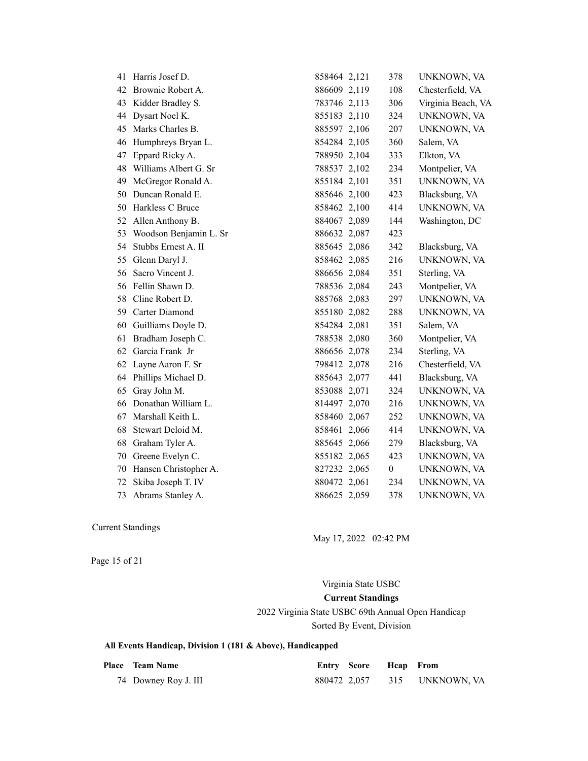| 41 | Harris Josef D.        | 858464 2,121 | 378              | UNKNOWN, VA        |
|----|------------------------|--------------|------------------|--------------------|
| 42 | Brownie Robert A.      | 886609 2,119 | 108              | Chesterfield, VA   |
| 43 | Kidder Bradley S.      | 783746 2,113 | 306              | Virginia Beach, VA |
| 44 | Dysart Noel K.         | 855183 2,110 | 324              | UNKNOWN, VA        |
| 45 | Marks Charles B.       | 885597 2,106 | 207              | UNKNOWN, VA        |
| 46 | Humphreys Bryan L.     | 854284 2,105 | 360              | Salem, VA          |
| 47 | Eppard Ricky A.        | 788950 2,104 | 333              | Elkton, VA         |
| 48 | Williams Albert G. Sr  | 788537 2,102 | 234              | Montpelier, VA     |
| 49 | McGregor Ronald A.     | 855184 2,101 | 351              | UNKNOWN, VA        |
| 50 | Duncan Ronald E.       | 885646 2,100 | 423              | Blacksburg, VA     |
| 50 | Harkless C Bruce       | 858462 2,100 | 414              | UNKNOWN, VA        |
| 52 | Allen Anthony B.       | 884067 2,089 | 144              | Washington, DC     |
| 53 | Woodson Benjamin L. Sr | 886632 2,087 | 423              |                    |
| 54 | Stubbs Ernest A. II    | 885645 2,086 | 342              | Blacksburg, VA     |
| 55 | Glenn Daryl J.         | 858462 2,085 | 216              | UNKNOWN, VA        |
| 56 | Sacro Vincent J.       | 886656 2,084 | 351              | Sterling, VA       |
| 56 | Fellin Shawn D.        | 788536 2,084 | 243              | Montpelier, VA     |
| 58 | Cline Robert D.        | 885768 2,083 | 297              | UNKNOWN, VA        |
| 59 | Carter Diamond         | 855180 2,082 | 288              | UNKNOWN, VA        |
| 60 | Guilliams Doyle D.     | 854284 2,081 | 351              | Salem, VA          |
| 61 | Bradham Joseph C.      | 788538 2,080 | 360              | Montpelier, VA     |
| 62 | Garcia Frank Jr        | 886656 2,078 | 234              | Sterling, VA       |
| 62 | Layne Aaron F. Sr      | 798412 2,078 | 216              | Chesterfield, VA   |
| 64 | Phillips Michael D.    | 885643 2,077 | 441              | Blacksburg, VA     |
| 65 | Gray John M.           | 853088 2,071 | 324              | UNKNOWN, VA        |
| 66 | Donathan William L.    | 814497 2,070 | 216              | UNKNOWN, VA        |
| 67 | Marshall Keith L.      | 858460 2,067 | 252              | UNKNOWN, VA        |
| 68 | Stewart Deloid M.      | 858461 2,066 | 414              | UNKNOWN, VA        |
| 68 | Graham Tyler A.        | 885645 2,066 | 279              | Blacksburg, VA     |
| 70 | Greene Evelyn C.       | 855182 2,065 | 423              | UNKNOWN, VA        |
| 70 | Hansen Christopher A.  | 827232 2,065 | $\boldsymbol{0}$ | UNKNOWN, VA        |
| 72 | Skiba Joseph T. IV     | 880472 2,061 | 234              | UNKNOWN, VA        |
| 73 | Abrams Stanley A.      | 886625 2,059 | 378              | UNKNOWN, VA        |

May 17, 2022 02:42 PM

Page 15 of 21

Virginia State USBC **Current Standings**

2022 Virginia State USBC 69th Annual Open Handicap Sorted By Event, Division

| <b>Place</b> Team Name | <b>Entry Score Heap</b> From |                 |
|------------------------|------------------------------|-----------------|
| 74 Downey Roy J. III   | 880472 2,057                 | 315 UNKNOWN, VA |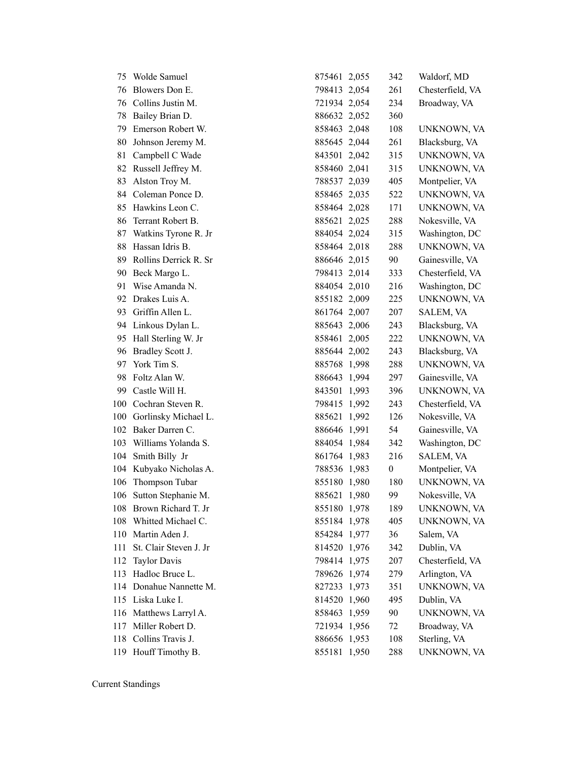| 75  | Wolde Samuel            | 875461 2,055 | 342              | Waldorf, MD      |
|-----|-------------------------|--------------|------------------|------------------|
| 76  | Blowers Don E.          | 798413 2,054 | 261              | Chesterfield, VA |
| 76  | Collins Justin M.       | 721934 2,054 | 234              | Broadway, VA     |
| 78  | Bailey Brian D.         | 886632 2,052 | 360              |                  |
| 79  | Emerson Robert W.       | 858463 2,048 | 108              | UNKNOWN, VA      |
| 80  | Johnson Jeremy M.       | 885645 2,044 | 261              | Blacksburg, VA   |
| 81  | Campbell C Wade         | 843501 2,042 | 315              | UNKNOWN, VA      |
| 82  | Russell Jeffrey M.      | 858460 2,041 | 315              | UNKNOWN, VA      |
| 83  | Alston Troy M.          | 788537 2,039 | 405              | Montpelier, VA   |
| 84  | Coleman Ponce D.        | 858465 2,035 | 522              | UNKNOWN, VA      |
| 85  | Hawkins Leon C.         | 858464 2,028 | 171              | UNKNOWN, VA      |
| 86  | Terrant Robert B.       | 885621 2,025 | 288              | Nokesville, VA   |
| 87  | Watkins Tyrone R. Jr    | 884054 2,024 | 315              | Washington, DC   |
| 88  | Hassan Idris B.         | 858464 2,018 | 288              | UNKNOWN, VA      |
| 89  | Rollins Derrick R. Sr   | 886646 2,015 | 90               | Gainesville, VA  |
| 90  | Beck Margo L.           | 798413 2,014 | 333              | Chesterfield, VA |
| 91  | Wise Amanda N.          | 884054 2,010 | 216              | Washington, DC   |
| 92  | Drakes Luis A.          | 855182 2,009 | 225              | UNKNOWN, VA      |
| 93  | Griffin Allen L.        | 861764 2,007 | 207              | SALEM, VA        |
| 94  | Linkous Dylan L.        | 885643 2,006 | 243              | Blacksburg, VA   |
| 95  | Hall Sterling W. Jr     | 858461 2,005 | 222              | UNKNOWN, VA      |
| 96  | Bradley Scott J.        | 885644 2,002 | 243              | Blacksburg, VA   |
| 97  | York Tim S.             | 885768 1,998 | 288              | UNKNOWN, VA      |
| 98  | Foltz Alan W.           | 886643 1,994 | 297              | Gainesville, VA  |
| 99  | Castle Will H.          | 843501 1,993 | 396              | UNKNOWN, VA      |
| 100 | Cochran Steven R.       | 798415 1,992 | 243              | Chesterfield, VA |
| 100 | Gorlinsky Michael L.    | 885621 1,992 | 126              | Nokesville, VA   |
| 102 | Baker Darren C.         | 886646 1,991 | 54               | Gainesville, VA  |
| 103 | Williams Yolanda S.     | 884054 1,984 | 342              | Washington, DC   |
| 104 | Smith Billy Jr          | 861764 1,983 | 216              | SALEM, VA        |
| 104 | Kubyako Nicholas A.     | 788536 1,983 | $\boldsymbol{0}$ | Montpelier, VA   |
| 106 | Thompson Tubar          | 855180 1,980 | 180              | UNKNOWN, VA      |
|     | 106 Sutton Stephanie M. | 885621 1,980 | 99               | Nokesville, VA   |
|     | 108 Brown Richard T. Jr | 855180 1,978 | 189              | UNKNOWN, VA      |
| 108 | Whitted Michael C.      | 855184 1,978 | 405              | UNKNOWN, VA      |
| 110 | Martin Aden J.          | 854284 1,977 | 36               | Salem, VA        |
| 111 | St. Clair Steven J. Jr  | 814520 1,976 | 342              | Dublin, VA       |
| 112 | <b>Taylor Davis</b>     | 798414 1,975 | 207              | Chesterfield, VA |
| 113 | Hadloc Bruce L.         | 789626 1,974 | 279              | Arlington, VA    |
| 114 | Donahue Nannette M.     | 827233 1,973 | 351              | UNKNOWN, VA      |
|     | 115 Liska Luke I.       | 814520 1,960 | 495              | Dublin, VA       |
| 116 | Matthews Larryl A.      | 858463 1,959 | 90               | UNKNOWN, VA      |
| 117 | Miller Robert D.        | 721934 1,956 | 72               | Broadway, VA     |
| 118 | Collins Travis J.       | 886656 1,953 | 108              | Sterling, VA     |
|     | 119 Houff Timothy B.    | 855181 1,950 | 288              | UNKNOWN, VA      |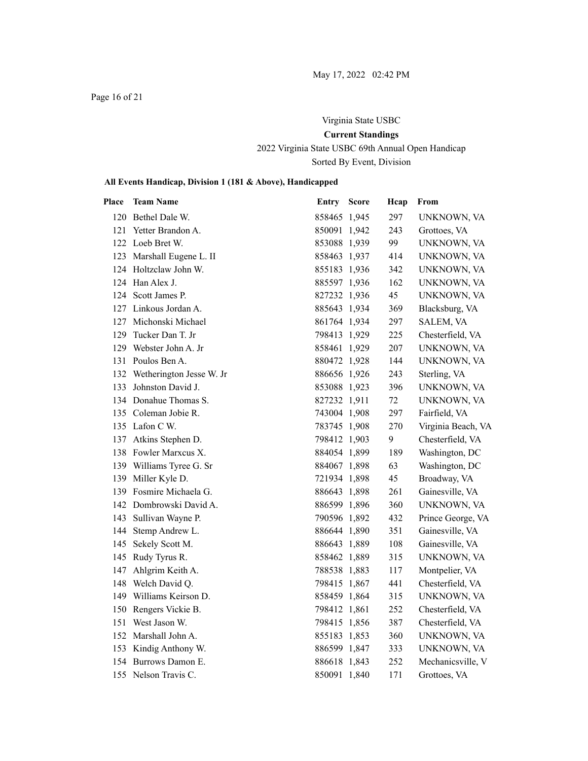Page 16 of 21

# Virginia State USBC **Current Standings** 2022 Virginia State USBC 69th Annual Open Handicap Sorted By Event, Division

| Place | <b>Team Name</b>             | Entry        | <b>Score</b> | Hcap | From               |
|-------|------------------------------|--------------|--------------|------|--------------------|
|       | 120 Bethel Dale W.           | 858465 1,945 |              | 297  | UNKNOWN, VA        |
|       | 121 Yetter Brandon A.        | 850091 1,942 |              | 243  | Grottoes, VA       |
|       | 122 Loeb Bret W.             | 853088 1,939 |              | 99   | UNKNOWN, VA        |
|       | 123 Marshall Eugene L. II    | 858463 1,937 |              | 414  | UNKNOWN, VA        |
|       | 124 Holtzclaw John W.        | 855183 1,936 |              | 342  | UNKNOWN, VA        |
|       | 124 Han Alex J.              | 885597 1,936 |              | 162  | UNKNOWN, VA        |
|       | 124 Scott James P.           | 827232 1,936 |              | 45   | UNKNOWN, VA        |
|       | 127 Linkous Jordan A.        | 885643 1,934 |              | 369  | Blacksburg, VA     |
| 127   | Michonski Michael            | 861764 1,934 |              | 297  | SALEM, VA          |
| 129   | Tucker Dan T. Jr             | 798413 1,929 |              | 225  | Chesterfield, VA   |
|       | 129 Webster John A. Jr       | 858461 1,929 |              | 207  | UNKNOWN, VA        |
|       | 131 Poulos Ben A.            | 880472 1,928 |              | 144  | UNKNOWN, VA        |
|       | 132 Wetherington Jesse W. Jr | 886656 1,926 |              | 243  | Sterling, VA       |
|       | 133 Johnston David J.        | 853088 1,923 |              | 396  | UNKNOWN, VA        |
|       | 134 Donahue Thomas S.        | 827232 1,911 |              | 72   | UNKNOWN, VA        |
|       | 135 Coleman Jobie R.         | 743004 1,908 |              | 297  | Fairfield, VA      |
|       | 135 Lafon C W.               | 783745 1,908 |              | 270  | Virginia Beach, VA |
|       | 137 Atkins Stephen D.        | 798412 1,903 |              | 9    | Chesterfield, VA   |
|       | 138 Fowler Marxcus X.        | 884054 1,899 |              | 189  | Washington, DC     |
|       | 139 Williams Tyree G. Sr     | 884067 1,898 |              | 63   | Washington, DC     |
|       | 139 Miller Kyle D.           | 721934 1,898 |              | 45   | Broadway, VA       |
|       | 139 Fosmire Michaela G.      | 886643 1,898 |              | 261  | Gainesville, VA    |
|       | 142 Dombrowski David A.      | 886599 1,896 |              | 360  | UNKNOWN, VA        |
|       | 143 Sullivan Wayne P.        | 790596 1,892 |              | 432  | Prince George, VA  |
|       | 144 Stemp Andrew L.          | 886644 1,890 |              | 351  | Gainesville, VA    |
|       | 145 Sekely Scott M.          | 886643 1,889 |              | 108  | Gainesville, VA    |
|       | 145 Rudy Tyrus R.            | 858462 1,889 |              | 315  | UNKNOWN, VA        |
|       | 147 Ahlgrim Keith A.         | 788538 1,883 |              | 117  | Montpelier, VA     |
|       | 148 Welch David Q.           | 798415 1,867 |              | 441  | Chesterfield, VA   |
|       | 149 Williams Keirson D.      | 858459 1,864 |              | 315  | UNKNOWN, VA        |
|       | 150 Rengers Vickie B.        | 798412 1,861 |              | 252  | Chesterfield, VA   |
|       | 151 West Jason W.            | 798415 1,856 |              | 387  | Chesterfield, VA   |
|       | 152 Marshall John A.         | 855183 1,853 |              | 360  | UNKNOWN, VA        |
|       | 153 Kindig Anthony W.        | 886599 1,847 |              | 333  | UNKNOWN, VA        |
|       | 154 Burrows Damon E.         | 886618 1,843 |              | 252  | Mechanicsville, V  |
|       | 155 Nelson Travis C.         | 850091 1,840 |              | 171  | Grottoes, VA       |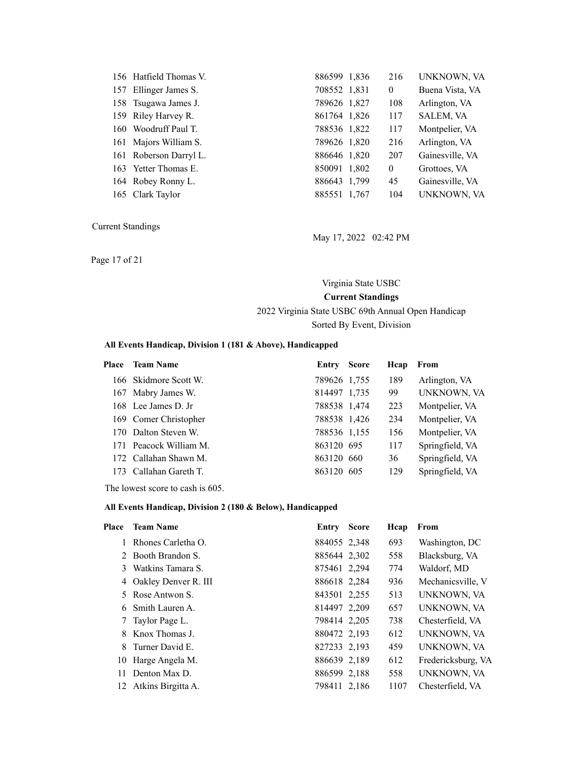| 156 Hatfield Thomas V. | 886599 1.836 | 216            | UNKNOWN, VA      |
|------------------------|--------------|----------------|------------------|
| 157 Ellinger James S.  | 708552 1,831 | $\overline{0}$ | Buena Vista, VA  |
| 158 Tsugawa James J.   | 789626 1,827 | 108            | Arlington, VA    |
| 159 Riley Harvey R.    | 861764 1,826 | 117            | <b>SALEM, VA</b> |
| 160 Woodruff Paul T.   | 788536 1,822 | 117            | Montpelier, VA   |
| 161 Majors William S.  | 789626 1,820 | 216            | Arlington, VA    |
| 161 Roberson Darryl L. | 886646 1,820 | 207            | Gainesville, VA  |
| 163 Yetter Thomas E.   | 850091 1,802 | $\overline{0}$ | Grottoes, VA     |
| 164 Robey Ronny L.     | 886643 1.799 | 45             | Gainesville, VA  |
| 165 Clark Taylor       | 885551 1,767 | 104            | UNKNOWN, VA      |

May 17, 2022 02:42 PM

Page 17 of 21

# Virginia State USBC **Current Standings** 2022 Virginia State USBC 69th Annual Open Handicap

#### Sorted By Event, Division

#### **All Events Handicap, Division 1 (181 & Above), Handicapped**

| Place | <b>Team Name</b>       | Entry        | <b>Score</b> | Hcap | From            |
|-------|------------------------|--------------|--------------|------|-----------------|
|       | 166 Skidmore Scott W.  | 789626 1.755 |              | 189  | Arlington, VA   |
|       | 167 Mabry James W.     | 814497 1,735 |              | 99   | UNKNOWN, VA     |
|       | 168 Lee James D. Jr.   | 788538 1,474 |              | 223  | Montpelier, VA  |
|       | 169 Comer Christopher  | 788538 1,426 |              | 234  | Montpelier, VA  |
|       | 170 Dalton Steven W.   | 788536 1,155 |              | 156  | Montpelier, VA  |
|       | 171 Peacock William M. | 863120 695   |              | 117  | Springfield, VA |
|       | 172 Callahan Shawn M.  | 863120 660   |              | 36   | Springfield, VA |
| 173.  | Callahan Gareth T      | 863120 605   |              | 129  | Springfield, VA |

The lowest score to cash is 605.

#### **All Events Handicap, Division 2 (180 & Below), Handicapped**

| Place | <b>Team Name</b>       | Entry        | <b>Score</b> | Hcap | From               |
|-------|------------------------|--------------|--------------|------|--------------------|
|       | Rhones Carletha O.     | 884055 2,348 |              | 693  | Washington, DC     |
|       | 2 Booth Brandon S.     | 885644 2,302 |              | 558  | Blacksburg, VA     |
| 3     | Watkins Tamara S.      | 875461 2,294 |              | 774  | Waldorf, MD        |
|       | 4 Oakley Denver R. III | 886618 2,284 |              | 936  | Mechanicsville, V  |
| 5     | Rose Antwon S.         | 843501 2.255 |              | 513  | UNKNOWN, VA        |
|       | 6 Smith Lauren A.      | 814497 2,209 |              | 657  | UNKNOWN, VA        |
|       | Taylor Page L.         | 798414 2,205 |              | 738  | Chesterfield, VA   |
| 8     | Knox Thomas J.         | 880472 2,193 |              | 612  | UNKNOWN, VA        |
| 8     | Turner David E.        | 827233 2,193 |              | 459  | UNKNOWN, VA        |
| 10    | Harge Angela M.        | 886639 2,189 |              | 612  | Fredericksburg, VA |
| 11    | Denton Max D.          | 886599 2,188 |              | 558  | UNKNOWN, VA        |
| 12    | Atkins Birgitta A.     | 798411 2,186 |              | 1107 | Chesterfield, VA   |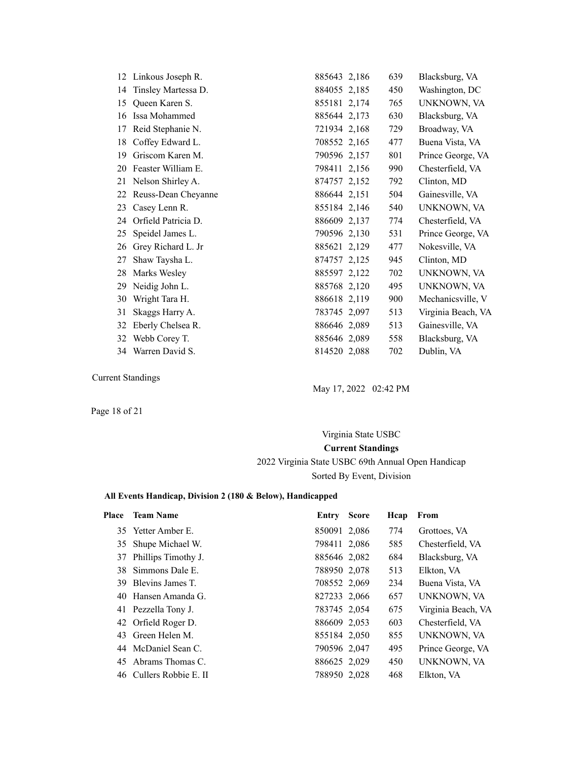|    | 12 Linkous Joseph R. | 885643 2,186 | 639 | Blacksburg, VA     |
|----|----------------------|--------------|-----|--------------------|
| 14 | Tinsley Martessa D.  | 884055 2,185 | 450 | Washington, DC     |
| 15 | Queen Karen S.       | 855181 2,174 | 765 | UNKNOWN, VA        |
| 16 | Issa Mohammed        | 885644 2,173 | 630 | Blacksburg, VA     |
| 17 | Reid Stephanie N.    | 721934 2,168 | 729 | Broadway, VA       |
| 18 | Coffey Edward L.     | 708552 2,165 | 477 | Buena Vista, VA    |
| 19 | Griscom Karen M.     | 790596 2,157 | 801 | Prince George, VA  |
| 20 | Feaster William E.   | 798411 2,156 | 990 | Chesterfield, VA   |
| 21 | Nelson Shirley A.    | 874757 2,152 | 792 | Clinton, MD        |
| 22 | Reuss-Dean Cheyanne  | 886644 2.151 | 504 | Gainesville, VA    |
| 23 | Casey Lenn R.        | 855184 2,146 | 540 | UNKNOWN, VA        |
| 24 | Orfield Patricia D.  | 886609 2,137 | 774 | Chesterfield, VA   |
| 25 | Speidel James L.     | 790596 2,130 | 531 | Prince George, VA  |
| 26 | Grey Richard L. Jr   | 885621 2,129 | 477 | Nokesville, VA     |
| 27 | Shaw Taysha L.       | 874757 2,125 | 945 | Clinton, MD        |
| 28 | Marks Wesley         | 885597 2,122 | 702 | UNKNOWN, VA        |
| 29 | Neidig John L.       | 885768 2,120 | 495 | UNKNOWN, VA        |
| 30 | Wright Tara H.       | 886618 2,119 | 900 | Mechanicsville, V  |
| 31 | Skaggs Harry A.      | 783745 2,097 | 513 | Virginia Beach, VA |
| 32 | Eberly Chelsea R.    | 886646 2,089 | 513 | Gainesville, VA    |
| 32 | Webb Corey T.        | 885646 2,089 | 558 | Blacksburg, VA     |
| 34 | Warren David S.      | 814520 2,088 | 702 | Dublin, VA         |

May 17, 2022 02:42 PM

Page 18 of 21

# Virginia State USBC **Current Standings** 2022 Virginia State USBC 69th Annual Open Handicap Sorted By Event, Division

#### **All Events Handicap, Division 2 (180 & Below), Handicapped**

| <b>Place</b> | <b>Team Name</b>        | Entry        | <b>Score</b> | Hcap | From               |
|--------------|-------------------------|--------------|--------------|------|--------------------|
|              | 35 Yetter Amber E.      | 850091 2,086 |              | 774  | Grottoes, VA       |
|              | 35 Shupe Michael W.     | 798411 2,086 |              | 585  | Chesterfield, VA   |
|              | 37 Phillips Timothy J.  | 885646 2,082 |              | 684  | Blacksburg, VA     |
| 38.          | Simmons Dale E.         | 788950 2,078 |              | 513  | Elkton, VA         |
|              | 39 Blevins James T.     | 708552 2,069 |              | 234  | Buena Vista, VA    |
|              | 40 Hansen Amanda G.     | 827233 2,066 |              | 657  | UNKNOWN, VA        |
|              | 41 Pezzella Tony J.     | 783745 2,054 |              | 675  | Virginia Beach, VA |
|              | 42 Orfield Roger D.     | 886609 2,053 |              | 603  | Chesterfield, VA   |
|              | 43 Green Helen M.       | 855184 2,050 |              | 855  | UNKNOWN, VA        |
|              | 44 McDaniel Sean C.     | 790596 2,047 |              | 495  | Prince George, VA  |
|              | 45 Abrams Thomas C.     | 886625 2,029 |              | 450  | UNKNOWN, VA        |
|              | 46 Cullers Robbie E. II | 788950 2,028 |              | 468  | Elkton, VA         |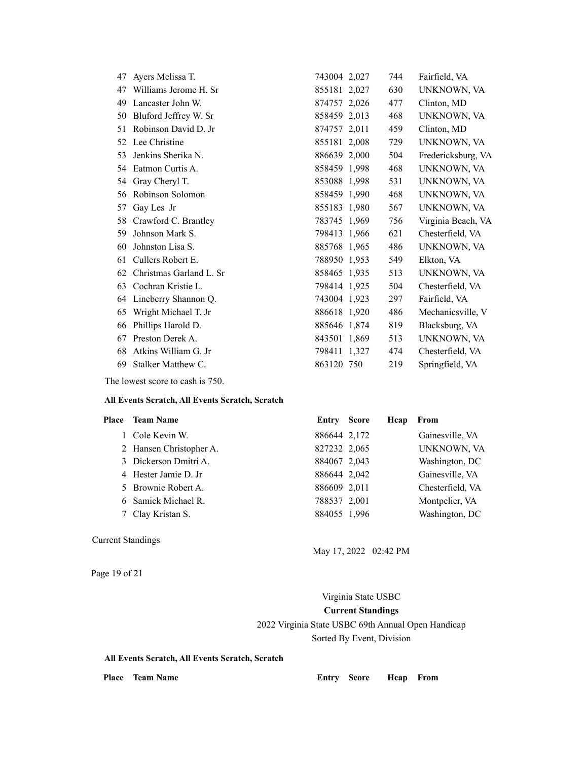| 47 | Ayers Melissa T.        | 743004 2,027 | 744 | Fairfield, VA      |
|----|-------------------------|--------------|-----|--------------------|
| 47 | Williams Jerome H. Sr   | 855181 2,027 | 630 | UNKNOWN, VA        |
| 49 | Lancaster John W.       | 874757 2,026 | 477 | Clinton, MD        |
| 50 | Bluford Jeffrey W. Sr   | 858459 2,013 | 468 | UNKNOWN, VA        |
| 51 | Robinson David D. Jr    | 874757 2,011 | 459 | Clinton, MD        |
| 52 | Lee Christine           | 855181 2,008 | 729 | UNKNOWN, VA        |
| 53 | Jenkins Sherika N.      | 886639 2,000 | 504 | Fredericksburg, VA |
| 54 | Eatmon Curtis A.        | 858459 1,998 | 468 | UNKNOWN, VA        |
| 54 | Gray Cheryl T.          | 853088 1,998 | 531 | UNKNOWN, VA        |
| 56 | Robinson Solomon        | 858459 1,990 | 468 | UNKNOWN, VA        |
| 57 | Gay Les Jr              | 855183 1,980 | 567 | UNKNOWN, VA        |
| 58 | Crawford C. Brantley    | 783745 1,969 | 756 | Virginia Beach, VA |
| 59 | Johnson Mark S.         | 798413 1,966 | 621 | Chesterfield, VA   |
| 60 | Johnston Lisa S.        | 885768 1,965 | 486 | UNKNOWN, VA        |
| 61 | Cullers Robert E.       | 788950 1,953 | 549 | Elkton, VA         |
| 62 | Christmas Garland L. Sr | 858465 1,935 | 513 | UNKNOWN, VA        |
| 63 | Cochran Kristie L.      | 798414 1,925 | 504 | Chesterfield, VA   |
| 64 | Lineberry Shannon Q.    | 743004 1,923 | 297 | Fairfield, VA      |
| 65 | Wright Michael T. Jr    | 886618 1,920 | 486 | Mechanicsville, V  |
| 66 | Phillips Harold D.      | 885646 1,874 | 819 | Blacksburg, VA     |
| 67 | Preston Derek A.        | 843501 1,869 | 513 | UNKNOWN, VA        |
| 68 | Atkins William G. Jr    | 798411 1,327 | 474 | Chesterfield, VA   |
| 69 | Stalker Matthew C.      | 863120 750   | 219 | Springfield, VA    |

The lowest score to cash is 750.

#### **All Events Scratch, All Events Scratch, Scratch**

| <b>Place</b> Team Name  | Entry        | <b>Score</b> | Hcap | From               |
|-------------------------|--------------|--------------|------|--------------------|
| 1 Cole Kevin W.         | 886644 2,172 |              |      | Gainesville, VA    |
| 2 Hansen Christopher A. | 827232 2,065 |              |      | <b>UNKNOWN, VA</b> |
| 3 Dickerson Dmitri A.   | 884067 2,043 |              |      | Washington, DC     |
| 4 Hester Jamie D. Jr    | 886644 2,042 |              |      | Gainesville, VA    |
| 5 Brownie Robert A.     | 886609 2,011 |              |      | Chesterfield, VA   |
| 6 Samick Michael R.     | 788537 2,001 |              |      | Montpelier, VA     |
| 7 Clay Kristan S.       | 884055 1,996 |              |      | Washington, DC     |
|                         |              |              |      |                    |

#### Current Standings

Page 19 of 21

May 17, 2022 02:42 PM

Virginia State USBC **Current Standings** 2022 Virginia State USBC 69th Annual Open Handicap Sorted By Event, Division

**All Events Scratch, All Events Scratch, Scratch**

Place Team Name **Entry Score Hcap From**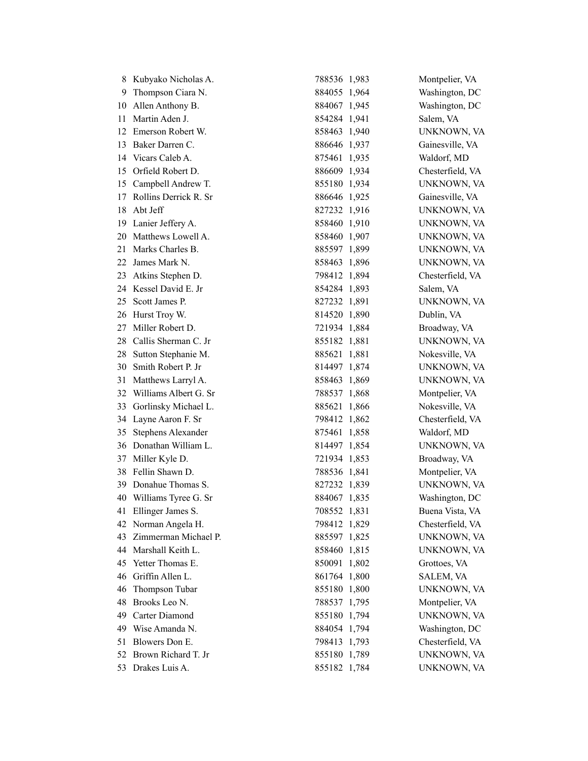|     | 8 Kubyako Nicholas A.     | 788536 1,983 | Montpelier, VA     |
|-----|---------------------------|--------------|--------------------|
| 9   | Thompson Ciara N.         | 884055 1,964 | Washington, DC     |
|     | 10 Allen Anthony B.       | 884067 1,945 | Washington, DC     |
|     | 11 Martin Aden J.         | 854284 1,941 | Salem, VA          |
| 12  | Emerson Robert W.         | 858463 1,940 | UNKNOWN, VA        |
| 13  | Baker Darren C.           | 886646 1,937 | Gainesville, VA    |
|     | 14 Vicars Caleb A.        | 875461 1,935 | Waldorf, MD        |
| 15  | Orfield Robert D.         | 886609 1,934 | Chesterfield, VA   |
| 15  | Campbell Andrew T.        | 855180 1,934 | UNKNOWN, VA        |
| 17  | Rollins Derrick R. Sr     | 886646 1,925 | Gainesville, VA    |
| 18  | Abt Jeff                  | 827232 1,916 | UNKNOWN, VA        |
|     | 19 Lanier Jeffery A.      | 858460 1,910 | UNKNOWN, VA        |
|     | 20 Matthews Lowell A.     | 858460 1,907 | UNKNOWN, VA        |
| 21  | Marks Charles B.          | 885597 1,899 | UNKNOWN, VA        |
| 22. | James Mark N.             | 858463 1,896 | UNKNOWN, VA        |
| 23  | Atkins Stephen D.         | 798412 1,894 | Chesterfield, VA   |
|     | 24 Kessel David E. Jr     | 854284 1,893 | Salem, VA          |
| 25  | Scott James P.            | 827232 1,891 | UNKNOWN, VA        |
|     | 26 Hurst Troy W.          | 814520 1,890 | Dublin, VA         |
| 27  | Miller Robert D.          | 721934 1,884 | Broadway, VA       |
| 28. | Callis Sherman C. Jr      | 855182 1,881 | UNKNOWN, VA        |
|     | 28 Sutton Stephanie M.    | 885621 1,881 | Nokesville, VA     |
| 30  | Smith Robert P. Jr        | 814497 1,874 | UNKNOWN, VA        |
| 31  | Matthews Larryl A.        | 858463 1,869 | UNKNOWN, VA        |
| 32  | Williams Albert G. Sr     | 788537 1,868 | Montpelier, VA     |
|     | 33 Gorlinsky Michael L.   | 885621 1,866 | Nokesville, VA     |
|     | 34 Layne Aaron F. Sr      | 798412 1,862 | Chesterfield, VA   |
| 35  | <b>Stephens Alexander</b> | 875461 1,858 | Waldorf, MD        |
|     | 36 Donathan William L.    | 814497 1,854 | UNKNOWN, VA        |
|     | 37 Miller Kyle D.         | 721934 1,853 | Broadway, VA       |
|     | 38 Fellin Shawn D.        | 788536 1,841 | Montpelier, VA     |
|     | 39 Donahue Thomas S.      | 827232 1,839 | UNKNOWN, VA        |
|     | 40 Williams Tyree G. Sr   | 884067 1,835 | Washington, DC     |
|     | 41 Ellinger James S.      | 708552 1,831 | Buena Vista, VA    |
| 42  | Norman Angela H.          | 798412 1,829 | Chesterfield, VA   |
| 43  | Zimmerman Michael P.      | 885597 1,825 | UNKNOWN, VA        |
|     | 44 Marshall Keith L.      | 858460 1,815 | <b>UNKNOWN, VA</b> |
| 45  | Yetter Thomas E.          | 850091 1,802 | Grottoes, VA       |
| 46  | Griffin Allen L.          | 861764 1,800 | SALEM, VA          |
| 46  | Thompson Tubar            | 855180 1,800 | UNKNOWN, VA        |
| 48  | Brooks Leo N.             | 788537 1,795 | Montpelier, VA     |
| 49. | Carter Diamond            | 855180 1,794 | UNKNOWN, VA        |
| 49  | Wise Amanda N.            | 884054 1,794 | Washington, DC     |
| 51  | Blowers Don E.            | 798413 1,793 | Chesterfield, VA   |
| 52  | Brown Richard T. Jr       | 855180 1,789 | UNKNOWN, VA        |
|     | 53 Drakes Luis A.         | 855182 1,784 | UNKNOWN, VA        |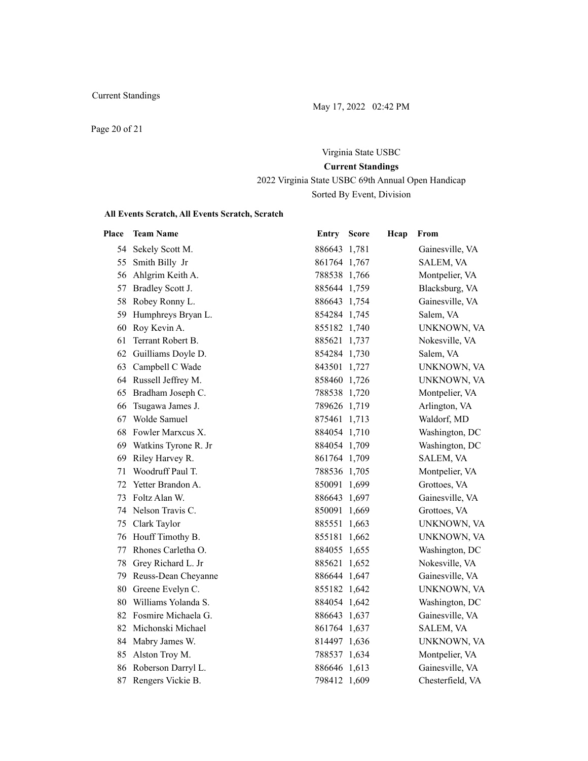May 17, 2022 02:42 PM

Page 20 of 21

# Virginia State USBC **Current Standings** 2022 Virginia State USBC 69th Annual Open Handicap

Sorted By Event, Division

#### **All Events Scratch, All Events Scratch, Scratch**

| Place | <b>Team Name</b>       | Entry        | <b>Score</b> | Hcap | From             |
|-------|------------------------|--------------|--------------|------|------------------|
| 54    | Sekely Scott M.        | 886643 1,781 |              |      | Gainesville, VA  |
| 55    | Smith Billy Jr         | 861764 1,767 |              |      | SALEM, VA        |
| 56    | Ahlgrim Keith A.       | 788538 1,766 |              |      | Montpelier, VA   |
| 57    | Bradley Scott J.       | 885644 1,759 |              |      | Blacksburg, VA   |
| 58    | Robey Ronny L.         | 886643 1,754 |              |      | Gainesville, VA  |
|       | 59 Humphreys Bryan L.  | 854284 1,745 |              |      | Salem, VA        |
|       | 60 Roy Kevin A.        | 855182 1,740 |              |      | UNKNOWN, VA      |
| 61    | Terrant Robert B.      | 885621 1,737 |              |      | Nokesville, VA   |
| 62    | Guilliams Doyle D.     | 854284 1,730 |              |      | Salem, VA        |
| 63    | Campbell C Wade        | 843501 1,727 |              |      | UNKNOWN, VA      |
| 64    | Russell Jeffrey M.     | 858460 1,726 |              |      | UNKNOWN, VA      |
| 65    | Bradham Joseph C.      | 788538 1,720 |              |      | Montpelier, VA   |
| 66    | Tsugawa James J.       | 789626 1,719 |              |      | Arlington, VA    |
| 67    | Wolde Samuel           | 875461 1,713 |              |      | Waldorf, MD      |
| 68    | Fowler Marxcus X.      | 884054 1,710 |              |      | Washington, DC   |
| 69    | Watkins Tyrone R. Jr   | 884054 1,709 |              |      | Washington, DC   |
| 69    | Riley Harvey R.        | 861764 1,709 |              |      | SALEM, VA        |
| 71    | Woodruff Paul T.       | 788536 1,705 |              |      | Montpelier, VA   |
| 72    | Yetter Brandon A.      | 850091 1,699 |              |      | Grottoes, VA     |
| 73    | Foltz Alan W.          | 886643 1,697 |              |      | Gainesville, VA  |
| 74    | Nelson Travis C.       | 850091 1,669 |              |      | Grottoes, VA     |
|       | 75 Clark Taylor        | 885551 1,663 |              |      | UNKNOWN, VA      |
| 76    | Houff Timothy B.       | 855181 1,662 |              |      | UNKNOWN, VA      |
| 77    | Rhones Carletha O.     | 884055 1,655 |              |      | Washington, DC   |
| 78    | Grey Richard L. Jr     | 885621 1,652 |              |      | Nokesville, VA   |
| 79    | Reuss-Dean Cheyanne    | 886644 1,647 |              |      | Gainesville, VA  |
| 80    | Greene Evelyn C.       | 855182 1,642 |              |      | UNKNOWN, VA      |
| 80    | Williams Yolanda S.    | 884054 1,642 |              |      | Washington, DC   |
|       | 82 Fosmire Michaela G. | 886643 1,637 |              |      | Gainesville, VA  |
|       | 82 Michonski Michael   | 861764 1,637 |              |      | SALEM, VA        |
| 84    | Mabry James W.         | 814497 1,636 |              |      | UNKNOWN, VA      |
| 85    | Alston Troy M.         | 788537 1,634 |              |      | Montpelier, VA   |
| 86    | Roberson Darryl L.     | 886646 1,613 |              |      | Gainesville, VA  |
|       | 87 Rengers Vickie B.   | 798412 1,609 |              |      | Chesterfield, VA |
|       |                        |              |              |      |                  |